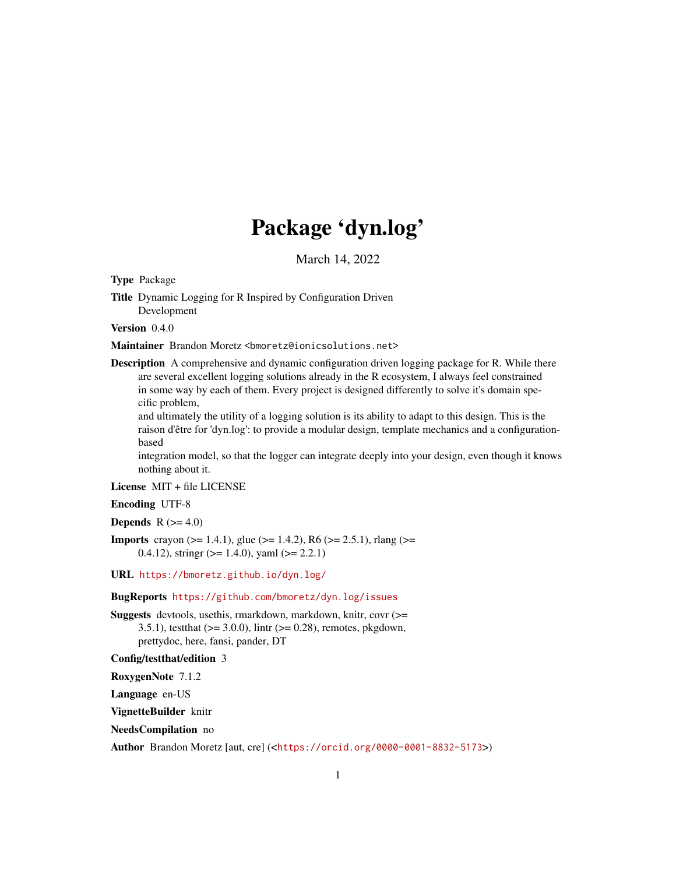# Package 'dyn.log'

March 14, 2022

<span id="page-0-0"></span>Type Package

```
Title Dynamic Logging for R Inspired by Configuration Driven
     Development
```
Version 0.4.0

Maintainer Brandon Moretz <br/>bmoretz@ionicsolutions.net>

**Description** A comprehensive and dynamic configuration driven logging package for R. While there are several excellent logging solutions already in the R ecosystem, I always feel constrained in some way by each of them. Every project is designed differently to solve it's domain specific problem,

and ultimately the utility of a logging solution is its ability to adapt to this design. This is the raison d'être for 'dyn.log': to provide a modular design, template mechanics and a configurationbased

integration model, so that the logger can integrate deeply into your design, even though it knows nothing about it.

License MIT + file LICENSE

Encoding UTF-8

Depends  $R$  ( $>= 4.0$ )

**Imports** crayon ( $> = 1.4.1$ ), glue ( $> = 1.4.2$ ), R6 ( $> = 2.5.1$ ), rlang ( $> =$ 0.4.12), stringr ( $> = 1.4.0$ ), yaml ( $> = 2.2.1$ )

URL <https://bmoretz.github.io/dyn.log/>

BugReports <https://github.com/bmoretz/dyn.log/issues>

Suggests devtools, usethis, rmarkdown, markdown, knitr, covr (>= 3.5.1), test that  $(>= 3.0.0)$ , lintr  $(>= 0.28)$ , remotes, pkgdown, prettydoc, here, fansi, pander, DT

Config/testthat/edition 3

RoxygenNote 7.1.2

Language en-US

VignetteBuilder knitr

NeedsCompilation no

Author Brandon Moretz [aut, cre] (<<https://orcid.org/0000-0001-8832-5173>>)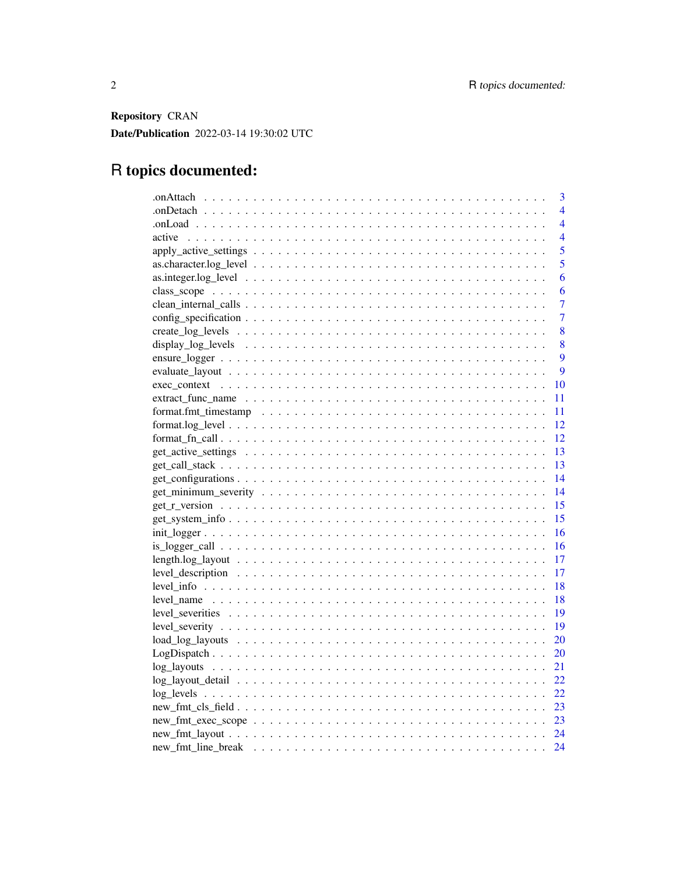Repository CRAN Date/Publication 2022-03-14 19:30:02 UTC

# R topics documented:

| 3                        |
|--------------------------|
| $\overline{4}$           |
| $\overline{4}$           |
| active<br>$\overline{4}$ |
| 5                        |
| 5                        |
| 6                        |
| 6                        |
| 7                        |
| $\overline{7}$           |
| 8                        |
| 8                        |
| 9                        |
| 9                        |
| 10                       |
| 11                       |
| 11                       |
| 12                       |
| 12                       |
| 13                       |
| 13                       |
| 14                       |
| 14                       |
| 15                       |
| 15                       |
| 16                       |
| 16                       |
| 17                       |
| 17                       |
| 18                       |
| 18                       |
| 19                       |
| 19                       |
| 20                       |
| 20                       |
| 21                       |
|                          |
| 22                       |
|                          |
|                          |
|                          |
| 24                       |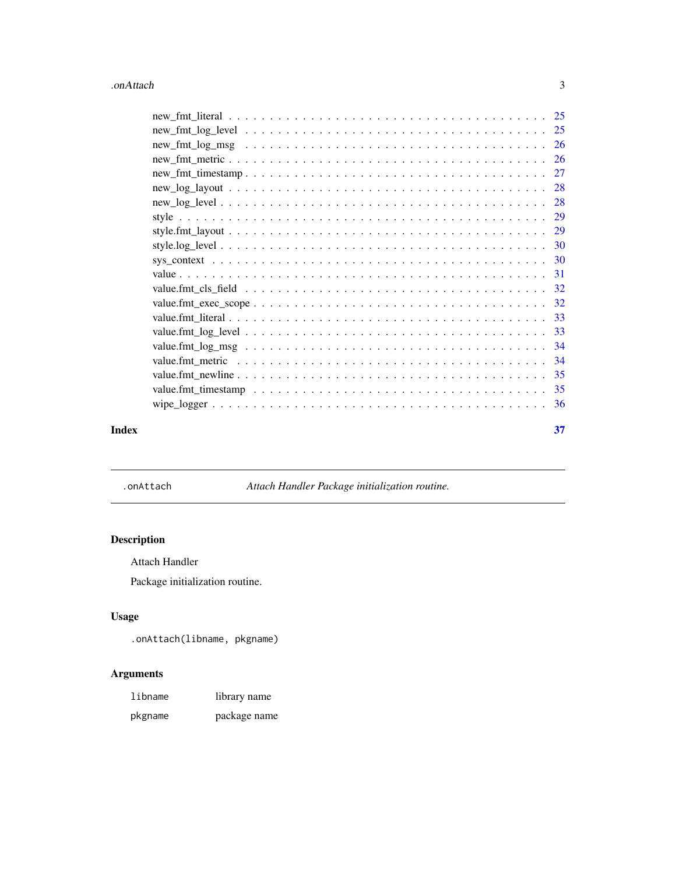#### <span id="page-2-0"></span>.onAttach 3

| Index | 37 |
|-------|----|

.onAttach *Attach Handler Package initialization routine.*

# Description

Attach Handler

Package initialization routine.

# Usage

.onAttach(libname, pkgname)

# Arguments

| libname | library name |
|---------|--------------|
| pkgname | package name |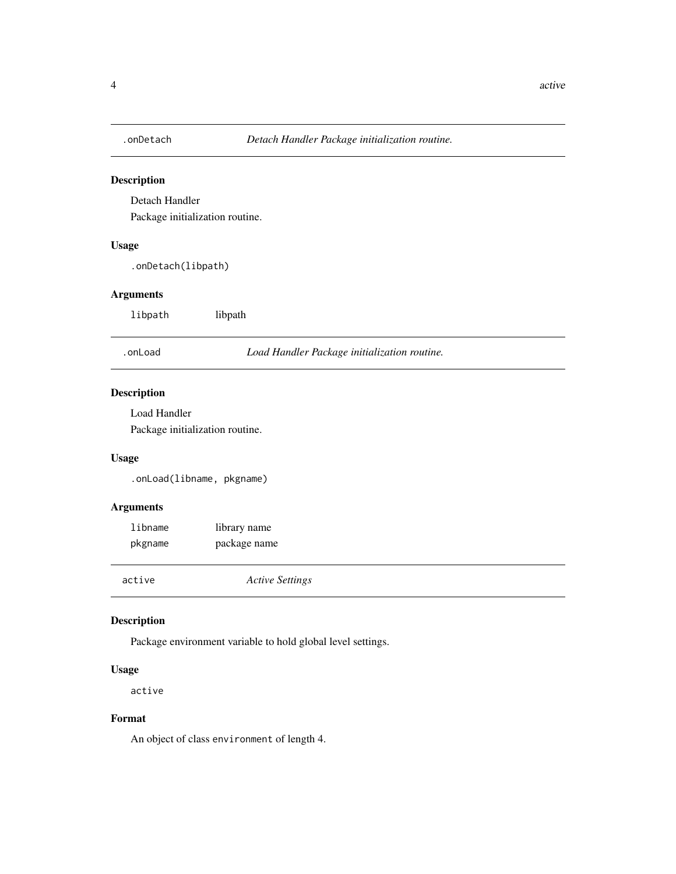<span id="page-3-0"></span>

Detach Handler

Package initialization routine.

#### Usage

.onDetach(libpath)

#### Arguments

libpath libpath

.onLoad *Load Handler Package initialization routine.*

#### Description

Load Handler

Package initialization routine.

#### Usage

.onLoad(libname, pkgname)

#### Arguments

| libname | library name |
|---------|--------------|
| pkgname | package name |
|         |              |

active *Active Settings*

#### Description

Package environment variable to hold global level settings.

#### Usage

active

#### Format

An object of class environment of length 4.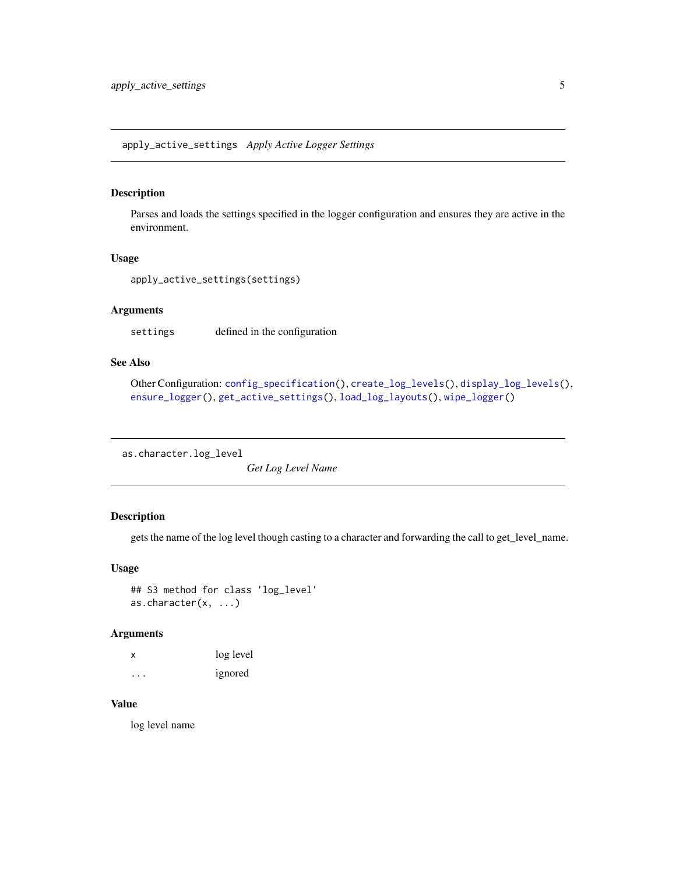<span id="page-4-1"></span><span id="page-4-0"></span>apply\_active\_settings *Apply Active Logger Settings*

#### Description

Parses and loads the settings specified in the logger configuration and ensures they are active in the environment.

#### Usage

apply\_active\_settings(settings)

# Arguments

settings defined in the configuration

#### See Also

```
Other Configuration: config_specification(), create_log_levels(), display_log_levels(),
ensure_logger(), get_active_settings(), load_log_layouts(), wipe_logger()
```
as.character.log\_level

*Get Log Level Name*

# Description

gets the name of the log level though casting to a character and forwarding the call to get\_level\_name.

#### Usage

```
## S3 method for class 'log_level'
as.character(x, ...)
```
#### Arguments

| x        | log level |
|----------|-----------|
| $\cdots$ | ignored   |

# Value

log level name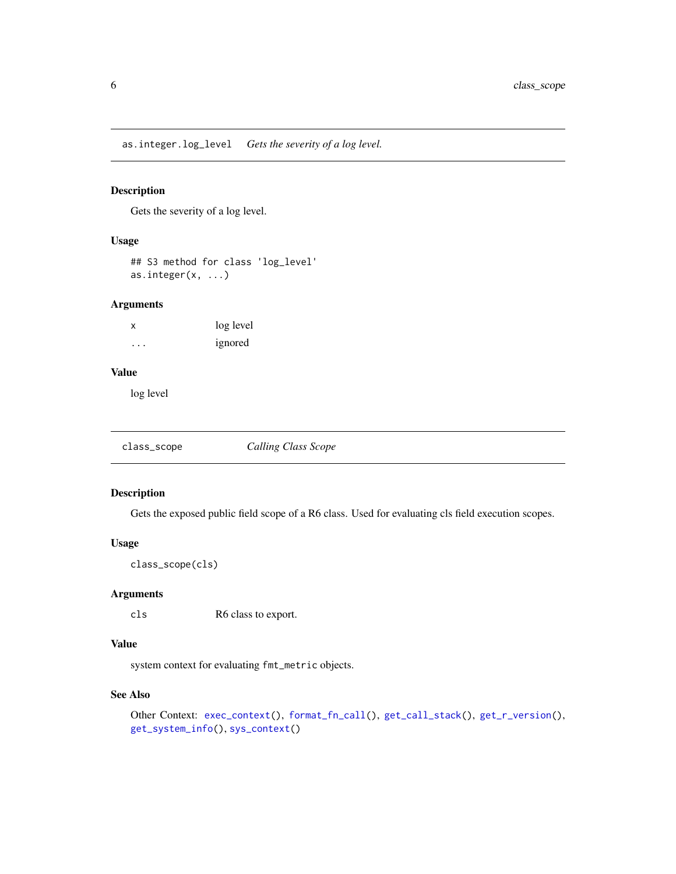<span id="page-5-0"></span>as.integer.log\_level *Gets the severity of a log level.*

#### Description

Gets the severity of a log level.

### Usage

## S3 method for class 'log\_level' as.integer(x, ...)

#### Arguments

x log level ... ignored

#### Value

log level

<span id="page-5-1"></span>

| class_scope | <b>Calling Class Scope</b> |
|-------------|----------------------------|
|-------------|----------------------------|

#### Description

Gets the exposed public field scope of a R6 class. Used for evaluating cls field execution scopes.

#### Usage

```
class_scope(cls)
```
#### Arguments

cls R6 class to export.

#### Value

system context for evaluating fmt\_metric objects.

#### See Also

```
Other Context: exec_context(), format_fn_call(), get_call_stack(), get_r_version(),
get_system_info(), sys_context()
```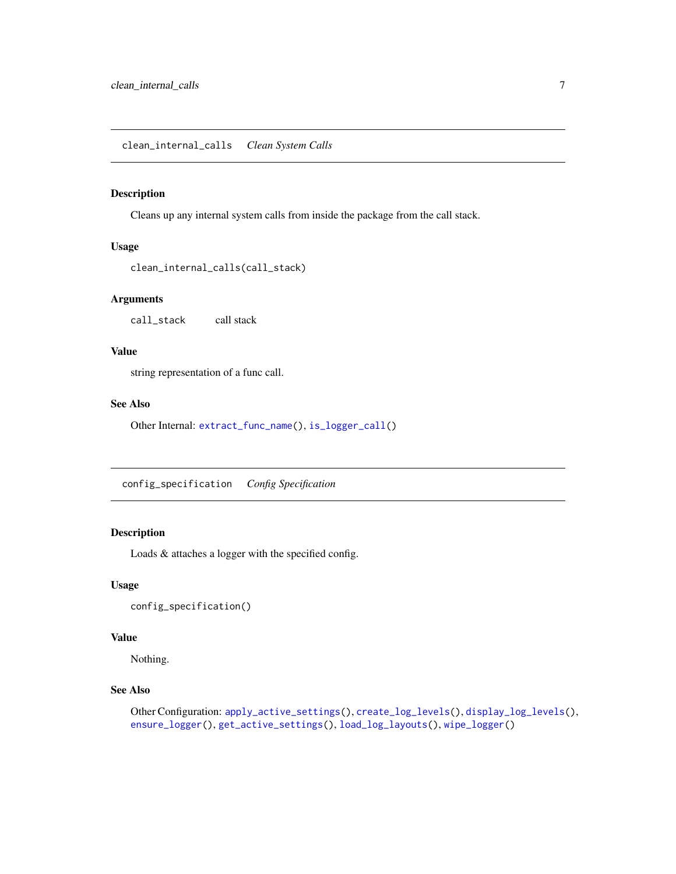<span id="page-6-2"></span><span id="page-6-0"></span>Cleans up any internal system calls from inside the package from the call stack.

#### Usage

```
clean_internal_calls(call_stack)
```
#### Arguments

call\_stack call stack

#### Value

string representation of a func call.

#### See Also

Other Internal: [extract\\_func\\_name\(](#page-10-1)), [is\\_logger\\_call\(](#page-15-1))

<span id="page-6-1"></span>config\_specification *Config Specification*

#### Description

Loads & attaches a logger with the specified config.

#### Usage

```
config_specification()
```
# Value

Nothing.

### See Also

```
Other Configuration: apply_active_settings(), create_log_levels(), display_log_levels(),
ensure_logger(), get_active_settings(), load_log_layouts(), wipe_logger()
```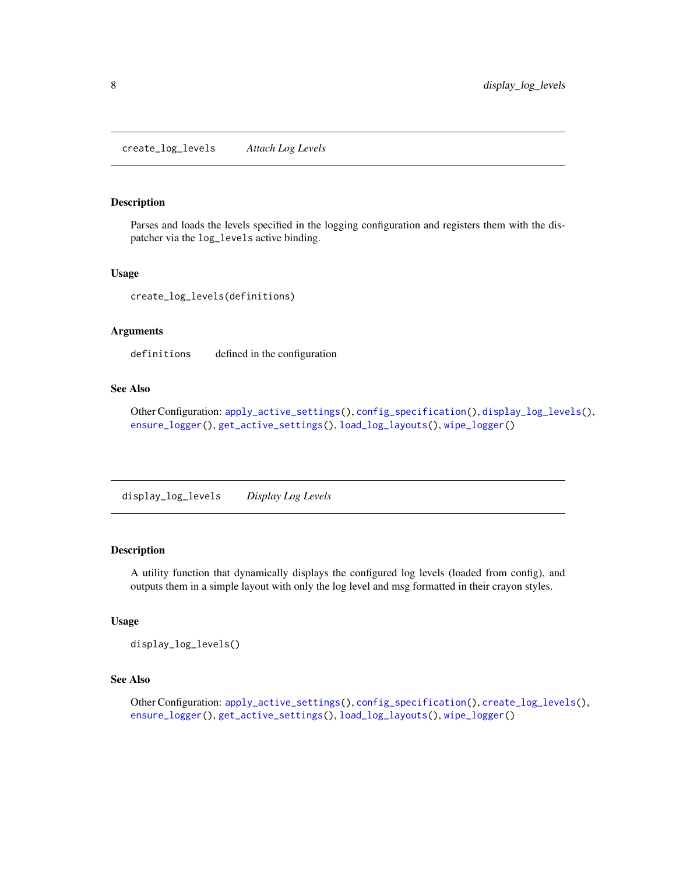<span id="page-7-1"></span><span id="page-7-0"></span>Parses and loads the levels specified in the logging configuration and registers them with the dispatcher via the log\_levels active binding.

#### Usage

create\_log\_levels(definitions)

#### Arguments

definitions defined in the configuration

# See Also

Other Configuration: [apply\\_active\\_settings\(](#page-4-1)), [config\\_specification\(](#page-6-1)), [display\\_log\\_levels\(](#page-7-2)), [ensure\\_logger\(](#page-8-1)), [get\\_active\\_settings\(](#page-12-1)), [load\\_log\\_layouts\(](#page-19-1)), [wipe\\_logger\(](#page-35-1))

<span id="page-7-2"></span>display\_log\_levels *Display Log Levels*

#### Description

A utility function that dynamically displays the configured log levels (loaded from config), and outputs them in a simple layout with only the log level and msg formatted in their crayon styles.

#### Usage

display\_log\_levels()

# See Also

Other Configuration: [apply\\_active\\_settings\(](#page-4-1)), [config\\_specification\(](#page-6-1)), [create\\_log\\_levels\(](#page-7-1)), [ensure\\_logger\(](#page-8-1)), [get\\_active\\_settings\(](#page-12-1)), [load\\_log\\_layouts\(](#page-19-1)), [wipe\\_logger\(](#page-35-1))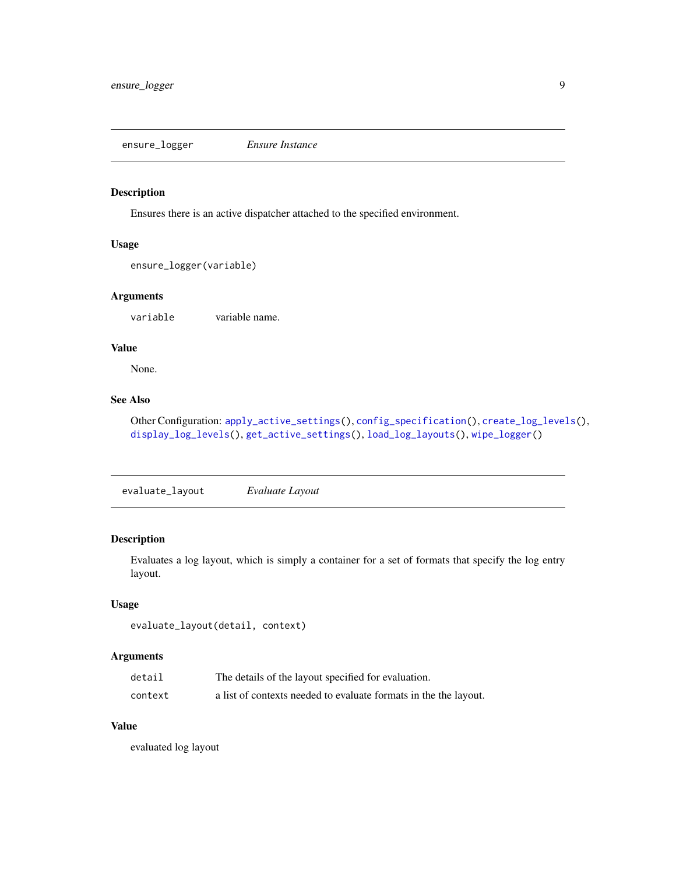<span id="page-8-1"></span><span id="page-8-0"></span>ensure\_logger *Ensure Instance*

#### Description

Ensures there is an active dispatcher attached to the specified environment.

#### Usage

```
ensure_logger(variable)
```
#### Arguments

variable variable name.

# Value

None.

#### See Also

Other Configuration: [apply\\_active\\_settings\(](#page-4-1)), [config\\_specification\(](#page-6-1)), [create\\_log\\_levels\(](#page-7-1)), [display\\_log\\_levels\(](#page-7-2)), [get\\_active\\_settings\(](#page-12-1)), [load\\_log\\_layouts\(](#page-19-1)), [wipe\\_logger\(](#page-35-1))

<span id="page-8-2"></span>evaluate\_layout *Evaluate Layout*

#### Description

Evaluates a log layout, which is simply a container for a set of formats that specify the log entry layout.

#### Usage

```
evaluate_layout(detail, context)
```
# Arguments

| detail  | The details of the layout specified for evaluation.              |
|---------|------------------------------------------------------------------|
| context | a list of contexts needed to evaluate formats in the the layout. |

# Value

evaluated log layout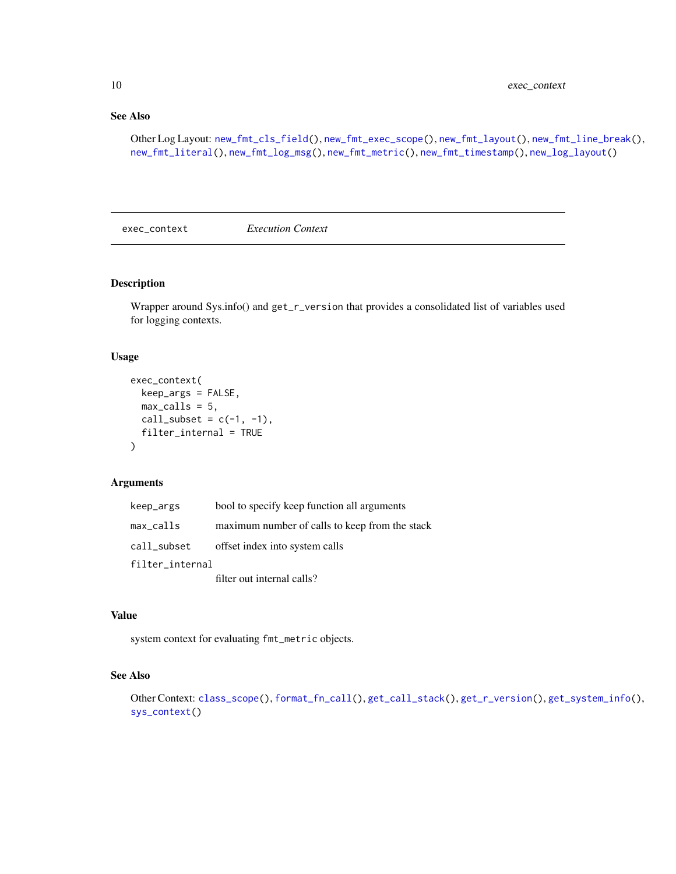# See Also

Other Log Layout: [new\\_fmt\\_cls\\_field\(](#page-22-1)), [new\\_fmt\\_exec\\_scope\(](#page-22-2)), [new\\_fmt\\_layout\(](#page-23-1)), [new\\_fmt\\_line\\_break\(](#page-23-2)), [new\\_fmt\\_literal\(](#page-24-1)), [new\\_fmt\\_log\\_msg\(](#page-25-1)), [new\\_fmt\\_metric\(](#page-25-2)), [new\\_fmt\\_timestamp\(](#page-26-1)), [new\\_log\\_layout\(](#page-27-1))

<span id="page-9-1"></span>exec\_context *Execution Context*

#### Description

Wrapper around Sys.info() and get\_r\_version that provides a consolidated list of variables used for logging contexts.

#### Usage

```
exec_context(
 keep_args = FALSE,
 max_calls = 5,
 call_subset = c(-1, -1),
  filter_internal = TRUE
\lambda
```
#### Arguments

| keep_args       | bool to specify keep function all arguments    |
|-----------------|------------------------------------------------|
| $max_calls$     | maximum number of calls to keep from the stack |
| call_subset     | offset index into system calls                 |
| filter_internal |                                                |
|                 | filter out internal calls?                     |

#### Value

system context for evaluating fmt\_metric objects.

#### See Also

Other Context: [class\\_scope\(](#page-5-1)), [format\\_fn\\_call\(](#page-11-1)), [get\\_call\\_stack\(](#page-12-2)), [get\\_r\\_version\(](#page-14-1)), [get\\_system\\_info\(](#page-14-2)), [sys\\_context\(](#page-29-1))

<span id="page-9-0"></span>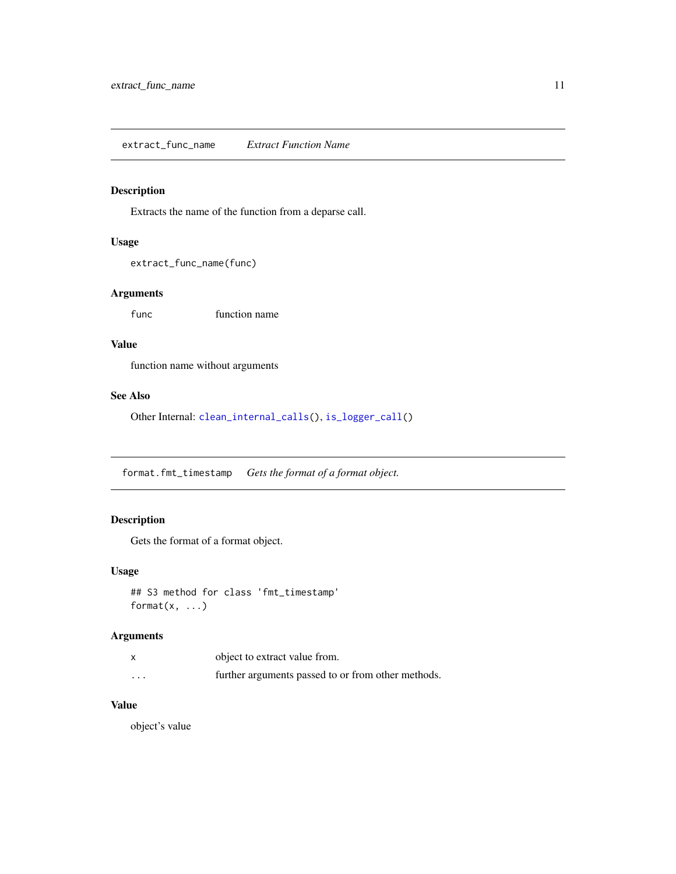<span id="page-10-1"></span><span id="page-10-0"></span>Extracts the name of the function from a deparse call.

#### Usage

```
extract_func_name(func)
```
#### Arguments

function name

#### Value

function name without arguments

#### See Also

Other Internal: [clean\\_internal\\_calls\(](#page-6-2)), [is\\_logger\\_call\(](#page-15-1))

format.fmt\_timestamp *Gets the format of a format object.*

# Description

Gets the format of a format object.

#### Usage

```
## S3 method for class 'fmt_timestamp'
format(x, \ldots)
```
#### Arguments

|                      | object to extract value from.                      |
|----------------------|----------------------------------------------------|
| $\ddot{\phantom{0}}$ | further arguments passed to or from other methods. |

# Value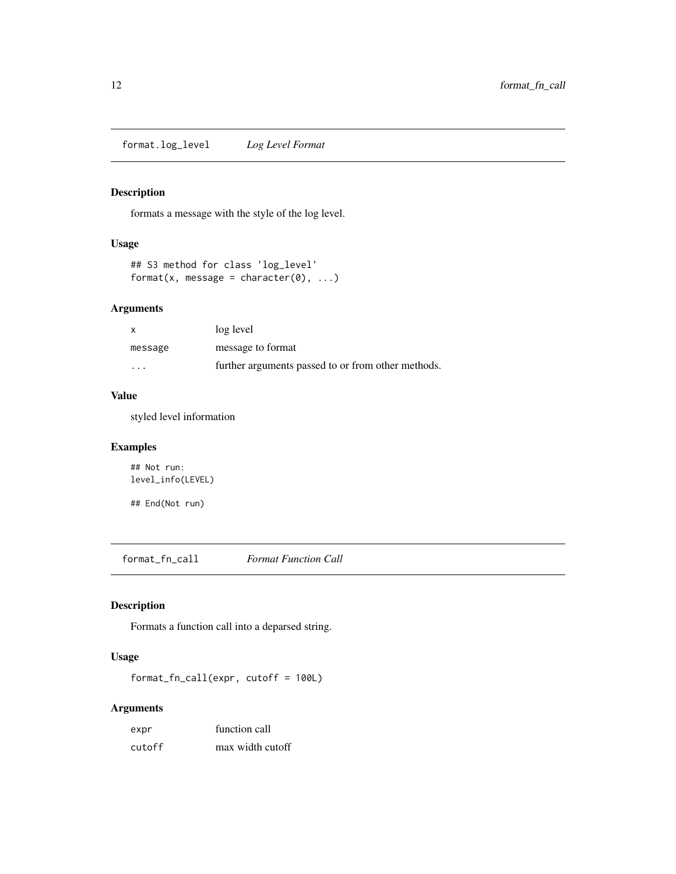<span id="page-11-0"></span>format.log\_level *Log Level Format*

#### Description

formats a message with the style of the log level.

# Usage

```
## S3 method for class 'log_level'
format(x, message = character(0), \dots)
```
#### Arguments

| $\boldsymbol{\mathsf{x}}$ | log level                                          |
|---------------------------|----------------------------------------------------|
| message                   | message to format                                  |
| $\cdots$                  | further arguments passed to or from other methods. |

# Value

styled level information

#### Examples

## Not run: level\_info(LEVEL)

## End(Not run)

<span id="page-11-1"></span>format\_fn\_call *Format Function Call*

#### Description

Formats a function call into a deparsed string.

# Usage

format\_fn\_call(expr, cutoff = 100L)

#### Arguments

| expr   | function call    |
|--------|------------------|
| cutoff | max width cutoff |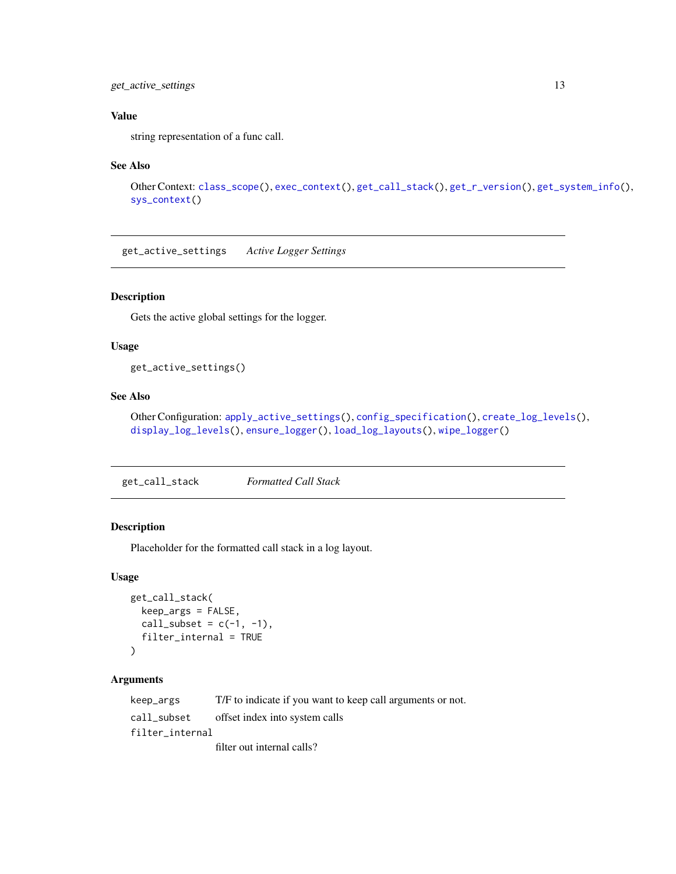#### <span id="page-12-0"></span>get\_active\_settings 13

# Value

string representation of a func call.

#### See Also

```
Other Context: class_scope(), exec_context(), get_call_stack(), get_r_version(), get_system_info(),
sys_context()
```
<span id="page-12-1"></span>get\_active\_settings *Active Logger Settings*

#### Description

Gets the active global settings for the logger.

#### Usage

get\_active\_settings()

#### See Also

Other Configuration: [apply\\_active\\_settings\(](#page-4-1)), [config\\_specification\(](#page-6-1)), [create\\_log\\_levels\(](#page-7-1)), [display\\_log\\_levels\(](#page-7-2)), [ensure\\_logger\(](#page-8-1)), [load\\_log\\_layouts\(](#page-19-1)), [wipe\\_logger\(](#page-35-1))

<span id="page-12-2"></span>get\_call\_stack *Formatted Call Stack*

### Description

Placeholder for the formatted call stack in a log layout.

#### Usage

```
get_call_stack(
  keep_args = FALSE,
  call_subset = c(-1, -1),
  filter_internal = TRUE
\mathcal{E}
```
#### Arguments

| keep_args       | T/F to indicate if you want to keep call arguments or not. |
|-----------------|------------------------------------------------------------|
| call_subset     | offset index into system calls                             |
| filter internal |                                                            |
|                 | filter out internal calls?                                 |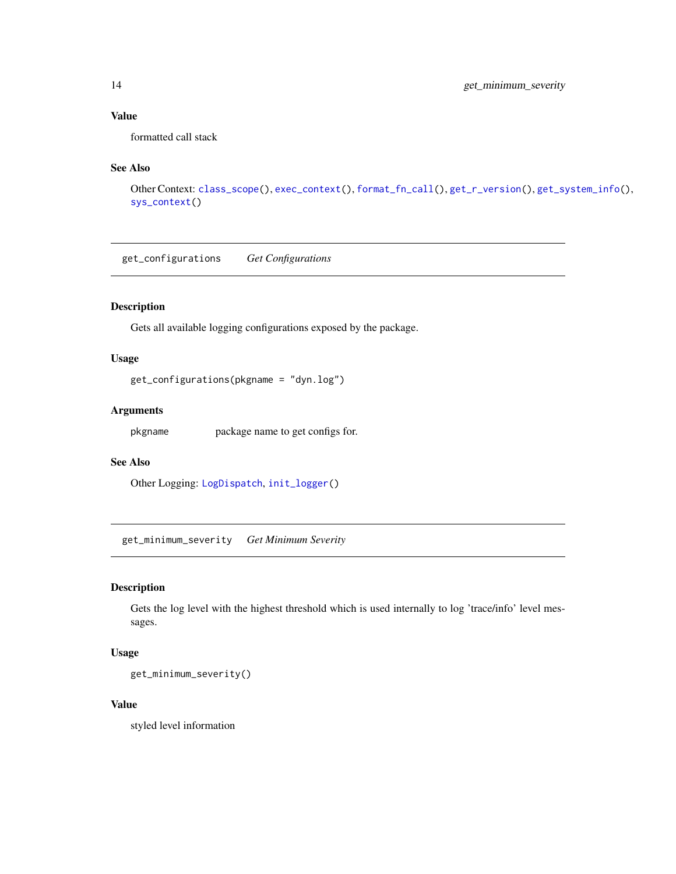# <span id="page-13-0"></span>Value

formatted call stack

#### See Also

```
Other Context: class_scope(), exec_context(), format_fn_call(), get_r_version(), get_system_info(),
sys_context()
```
<span id="page-13-1"></span>get\_configurations *Get Configurations*

# Description

Gets all available logging configurations exposed by the package.

# Usage

```
get_configurations(pkgname = "dyn.log")
```
#### Arguments

pkgname package name to get configs for.

# See Also

Other Logging: [LogDispatch](#page-19-2), [init\\_logger\(](#page-15-2))

get\_minimum\_severity *Get Minimum Severity*

#### Description

Gets the log level with the highest threshold which is used internally to log 'trace/info' level messages.

#### Usage

get\_minimum\_severity()

#### Value

styled level information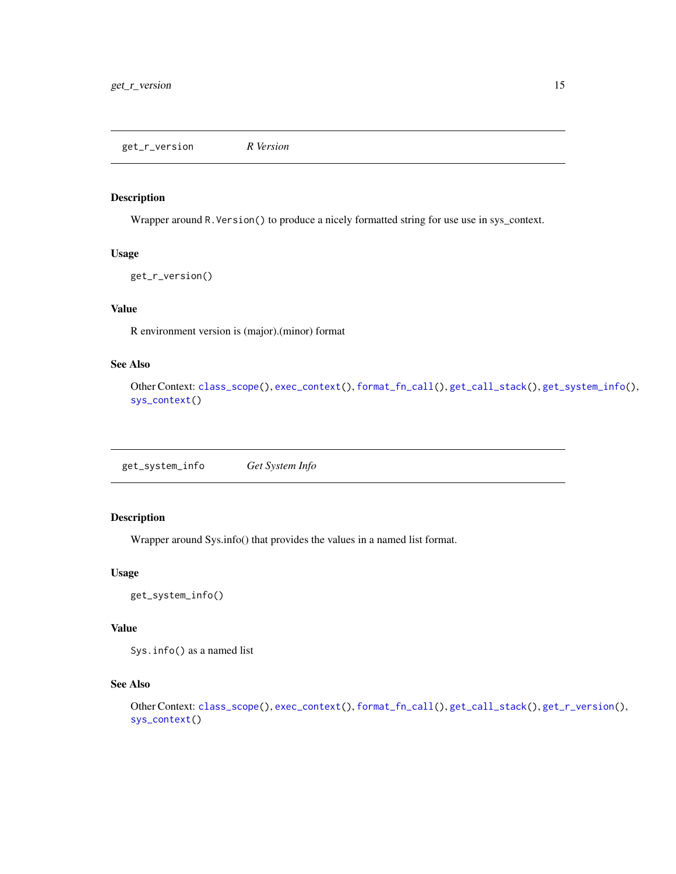<span id="page-14-1"></span><span id="page-14-0"></span>get\_r\_version *R Version*

#### Description

Wrapper around R.Version() to produce a nicely formatted string for use use in sys\_context.

#### Usage

```
get_r_version()
```
### Value

R environment version is (major).(minor) format

#### See Also

```
Other Context: class_scope(), exec_context(), format_fn_call(), get_call_stack(), get_system_info(),
sys_context()
```
<span id="page-14-2"></span>get\_system\_info *Get System Info*

#### Description

Wrapper around Sys.info() that provides the values in a named list format.

#### Usage

get\_system\_info()

#### Value

Sys.info() as a named list

# See Also

```
Other Context: class_scope(), exec_context(), format_fn_call(), get_call_stack(), get_r_version(),
sys_context()
```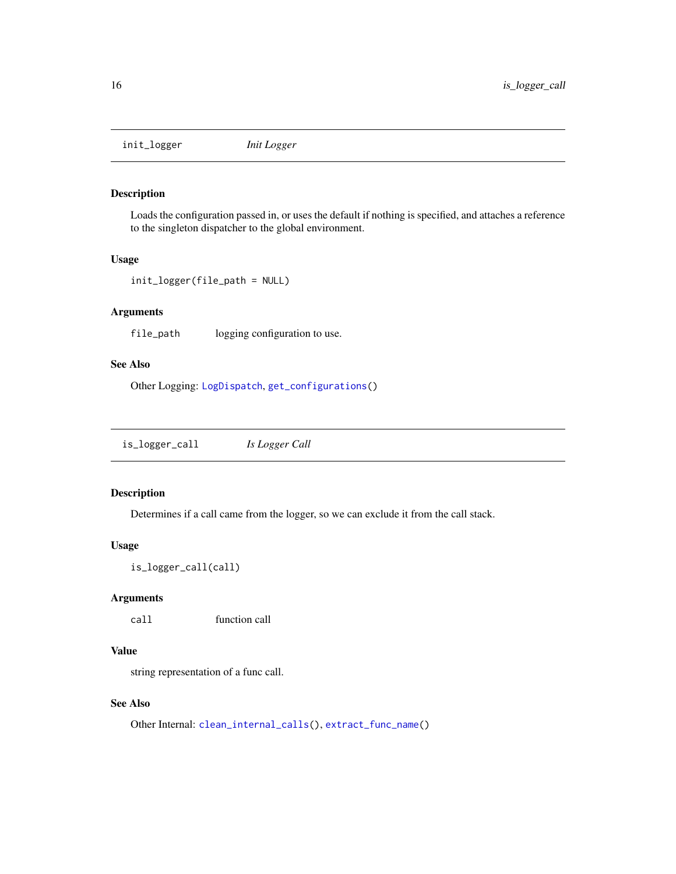<span id="page-15-2"></span><span id="page-15-0"></span>init\_logger *Init Logger*

#### Description

Loads the configuration passed in, or uses the default if nothing is specified, and attaches a reference to the singleton dispatcher to the global environment.

#### Usage

```
init_logger(file_path = NULL)
```
#### Arguments

file\_path logging configuration to use.

#### See Also

Other Logging: [LogDispatch](#page-19-2), [get\\_configurations\(](#page-13-1))

<span id="page-15-1"></span>is\_logger\_call *Is Logger Call*

#### Description

Determines if a call came from the logger, so we can exclude it from the call stack.

#### Usage

```
is_logger_call(call)
```
# Arguments

call function call

# Value

string representation of a func call.

#### See Also

Other Internal: [clean\\_internal\\_calls\(](#page-6-2)), [extract\\_func\\_name\(](#page-10-1))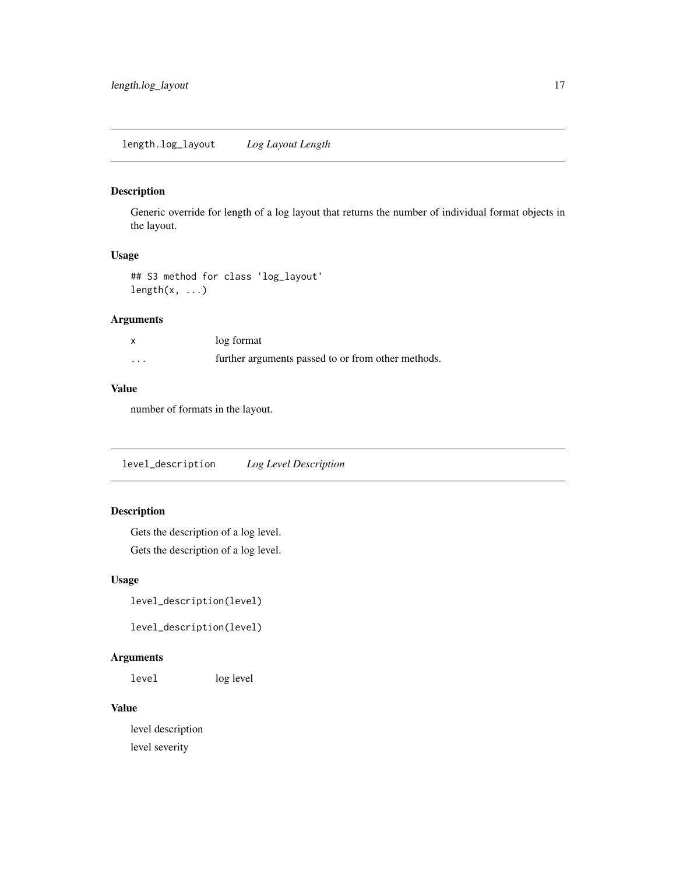<span id="page-16-0"></span>Generic override for length of a log layout that returns the number of individual format objects in the layout.

#### Usage

```
## S3 method for class 'log_layout'
length(x, \ldots)
```
#### Arguments

|                   | log format                                         |
|-------------------|----------------------------------------------------|
| $\cdot\cdot\cdot$ | further arguments passed to or from other methods. |

# Value

number of formats in the layout.

level\_description *Log Level Description*

#### Description

Gets the description of a log level. Gets the description of a log level.

#### Usage

level\_description(level)

level\_description(level)

#### Arguments

level log level

#### Value

level description level severity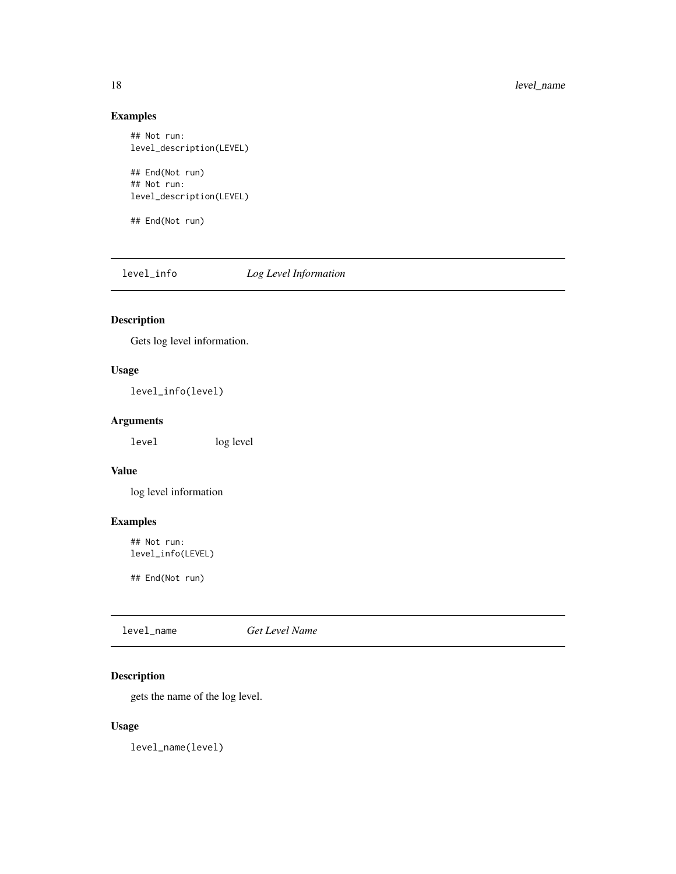# <span id="page-17-0"></span>Examples

```
## Not run:
level_description(LEVEL)
## End(Not run)
## Not run:
```
level\_description(LEVEL)

## End(Not run)

level\_info *Log Level Information*

# Description

Gets log level information.

# Usage

level\_info(level)

# Arguments

level log level

# Value

log level information

# Examples

## Not run: level\_info(LEVEL)

## End(Not run)

level\_name *Get Level Name*

# Description

gets the name of the log level.

#### Usage

level\_name(level)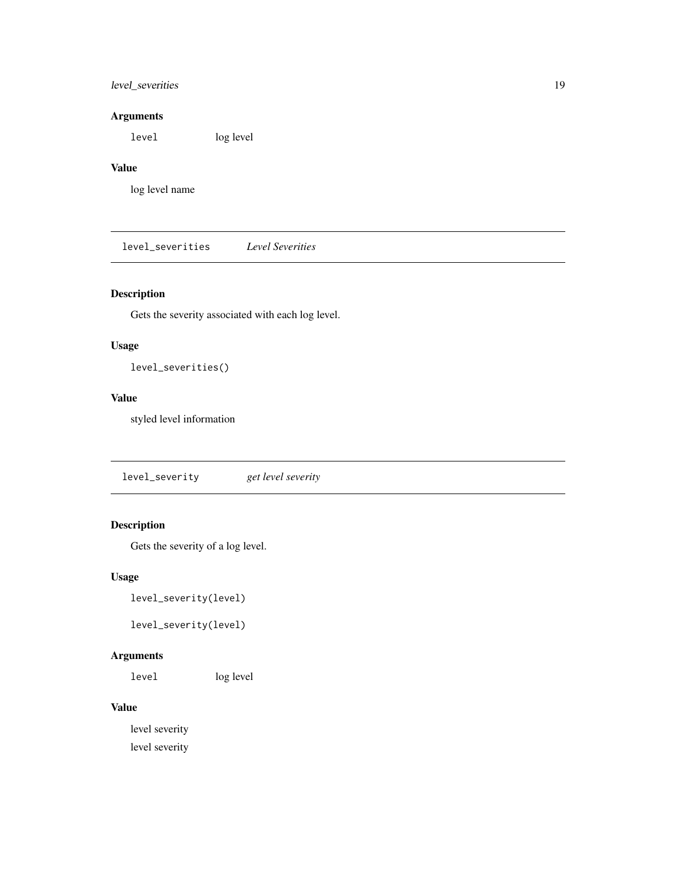# <span id="page-18-0"></span>level\_severities 19

# Arguments

level log level

# Value

log level name

level\_severities *Level Severities*

# Description

Gets the severity associated with each log level.

# Usage

level\_severities()

# Value

styled level information

level\_severity *get level severity*

# Description

Gets the severity of a log level.

#### Usage

level\_severity(level)

```
level_severity(level)
```
# Arguments

level log level

# Value

level severity level severity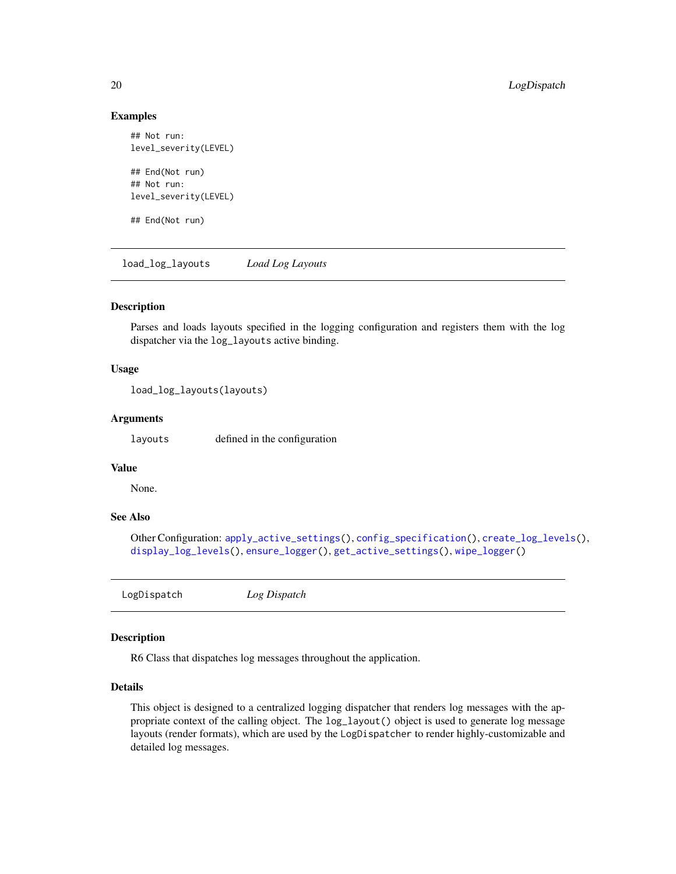#### Examples

```
## Not run:
level_severity(LEVEL)
## End(Not run)
## Not run:
level_severity(LEVEL)
```
## End(Not run)

<span id="page-19-1"></span>load\_log\_layouts *Load Log Layouts*

#### Description

Parses and loads layouts specified in the logging configuration and registers them with the log dispatcher via the log\_layouts active binding.

#### Usage

```
load_log_layouts(layouts)
```
#### Arguments

layouts defined in the configuration

# Value

None.

# See Also

```
Other Configuration: apply_active_settings(), config_specification(), create_log_levels(),
display_log_levels(), ensure_logger(), get_active_settings(), wipe_logger()
```
<span id="page-19-2"></span>LogDispatch *Log Dispatch*

# Description

R6 Class that dispatches log messages throughout the application.

#### Details

This object is designed to a centralized logging dispatcher that renders log messages with the appropriate context of the calling object. The log\_layout() object is used to generate log message layouts (render formats), which are used by the LogDispatcher to render highly-customizable and detailed log messages.

<span id="page-19-0"></span>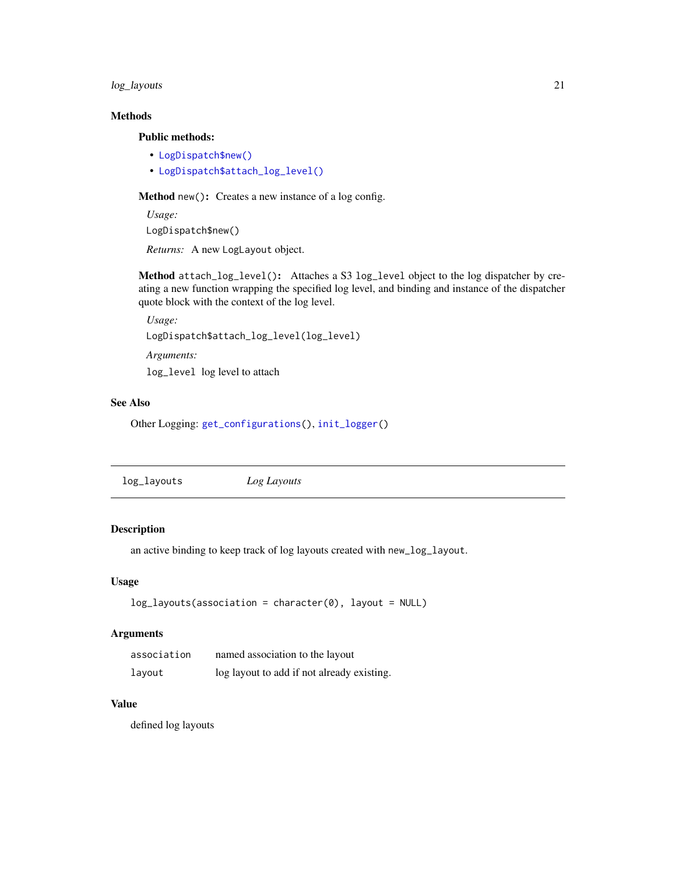#### <span id="page-20-0"></span>log\_layouts 21

# Methods

Public methods:

- [LogDispatch\\$new\(\)](#page-20-1)
- [LogDispatch\\$attach\\_log\\_level\(\)](#page-20-2)

<span id="page-20-1"></span>Method new(): Creates a new instance of a log config.

*Usage:* LogDispatch\$new() *Returns:* A new LogLayout object.

<span id="page-20-2"></span>Method attach\_log\_level(): Attaches a S3 log\_level object to the log dispatcher by creating a new function wrapping the specified log level, and binding and instance of the dispatcher quote block with the context of the log level.

*Usage:*

LogDispatch\$attach\_log\_level(log\_level)

*Arguments:*

log\_level log level to attach

#### See Also

Other Logging: [get\\_configurations\(](#page-13-1)), [init\\_logger\(](#page-15-2))

| log_layouts<br>Log Layouts |  |
|----------------------------|--|
|----------------------------|--|

# Description

an active binding to keep track of log layouts created with new\_log\_layout.

### Usage

```
log\_layers(association = character(0), layout = NULL)
```
#### Arguments

| association | named association to the layout            |
|-------------|--------------------------------------------|
| layout      | log layout to add if not already existing. |

#### Value

defined log layouts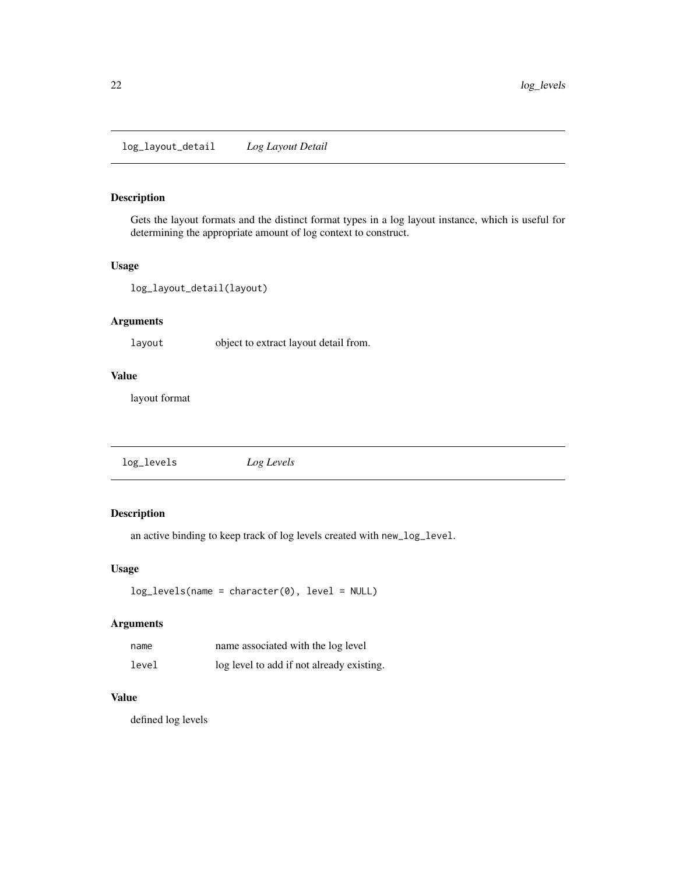<span id="page-21-0"></span>Gets the layout formats and the distinct format types in a log layout instance, which is useful for determining the appropriate amount of log context to construct.

#### Usage

```
log_layout_detail(layout)
```
#### Arguments

layout object to extract layout detail from.

# Value

layout format

log\_levels *Log Levels*

# Description

an active binding to keep track of log levels created with new\_log\_level.

#### Usage

```
log_levels(name = character(0), level = NULL)
```
#### Arguments

| name  | name associated with the log level        |
|-------|-------------------------------------------|
| level | log level to add if not already existing. |

# Value

defined log levels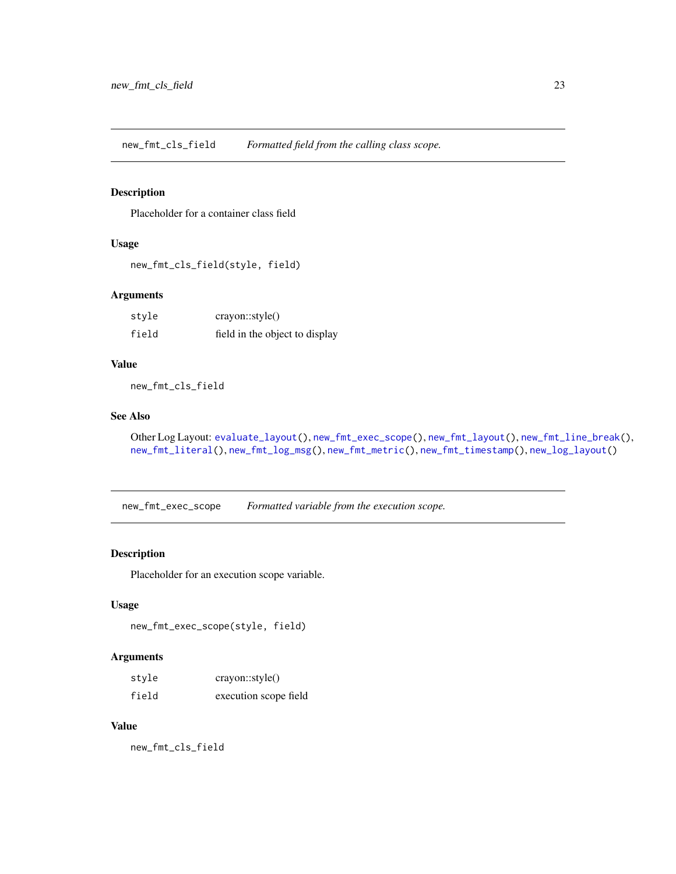<span id="page-22-1"></span><span id="page-22-0"></span>new\_fmt\_cls\_field *Formatted field from the calling class scope.*

#### Description

Placeholder for a container class field

# Usage

```
new_fmt_cls_field(style, field)
```
#### Arguments

| style | crayon::style()                |
|-------|--------------------------------|
| field | field in the object to display |

#### Value

new\_fmt\_cls\_field

# See Also

```
Other Log Layout: evaluate_layout(), new_fmt_exec_scope(), new_fmt_layout(), new_fmt_line_break(),
new_fmt_literal(), new_fmt_log_msg(), new_fmt_metric(), new_fmt_timestamp(), new_log_layout()
```
<span id="page-22-2"></span>new\_fmt\_exec\_scope *Formatted variable from the execution scope.*

#### Description

Placeholder for an execution scope variable.

#### Usage

```
new_fmt_exec_scope(style, field)
```
#### Arguments

| style | crayon::style()       |
|-------|-----------------------|
| field | execution scope field |

#### Value

new\_fmt\_cls\_field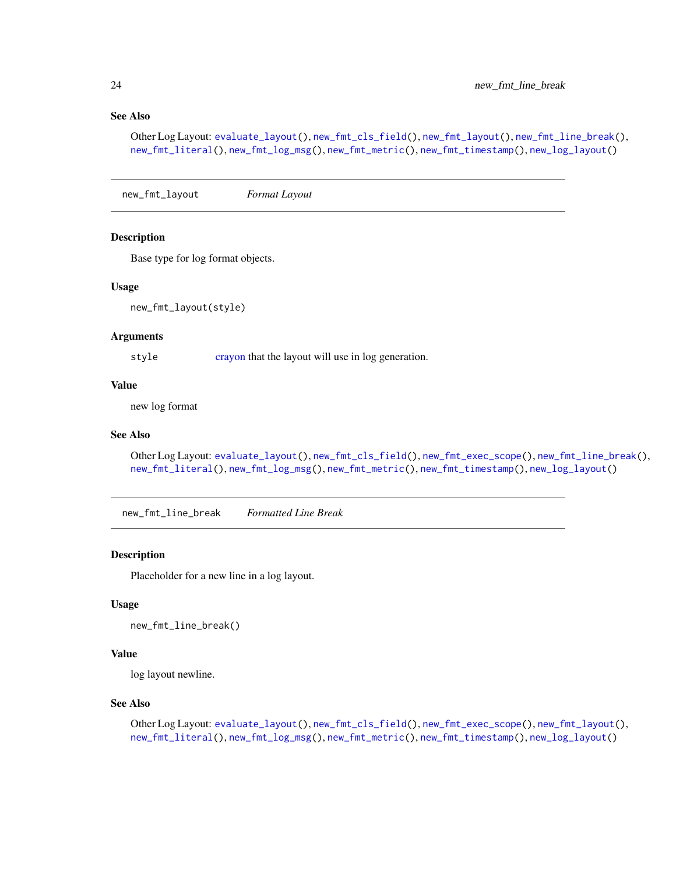# <span id="page-23-0"></span>See Also

```
Other Log Layout: evaluate_layout(), new_fmt_cls_field(), new_fmt_layout(), new_fmt_line_break(),
new_fmt_literal(), new_fmt_log_msg(), new_fmt_metric(), new_fmt_timestamp(), new_log_layout()
```
<span id="page-23-1"></span>new\_fmt\_layout *Format Layout*

#### Description

Base type for log format objects.

#### Usage

new\_fmt\_layout(style)

#### Arguments

style [crayon](#page-0-0) that the layout will use in log generation.

#### Value

new log format

#### See Also

```
Other Log Layout: evaluate_layout(), new_fmt_cls_field(), new_fmt_exec_scope(), new_fmt_line_break(),
new_fmt_literal(), new_fmt_log_msg(), new_fmt_metric(), new_fmt_timestamp(), new_log_layout()
```
<span id="page-23-2"></span>new\_fmt\_line\_break *Formatted Line Break*

#### Description

Placeholder for a new line in a log layout.

#### Usage

```
new_fmt_line_break()
```
# Value

log layout newline.

#### See Also

Other Log Layout: [evaluate\\_layout\(](#page-8-2)), [new\\_fmt\\_cls\\_field\(](#page-22-1)), [new\\_fmt\\_exec\\_scope\(](#page-22-2)), [new\\_fmt\\_layout\(](#page-23-1)), [new\\_fmt\\_literal\(](#page-24-1)), [new\\_fmt\\_log\\_msg\(](#page-25-1)), [new\\_fmt\\_metric\(](#page-25-2)), [new\\_fmt\\_timestamp\(](#page-26-1)), [new\\_log\\_layout\(](#page-27-1))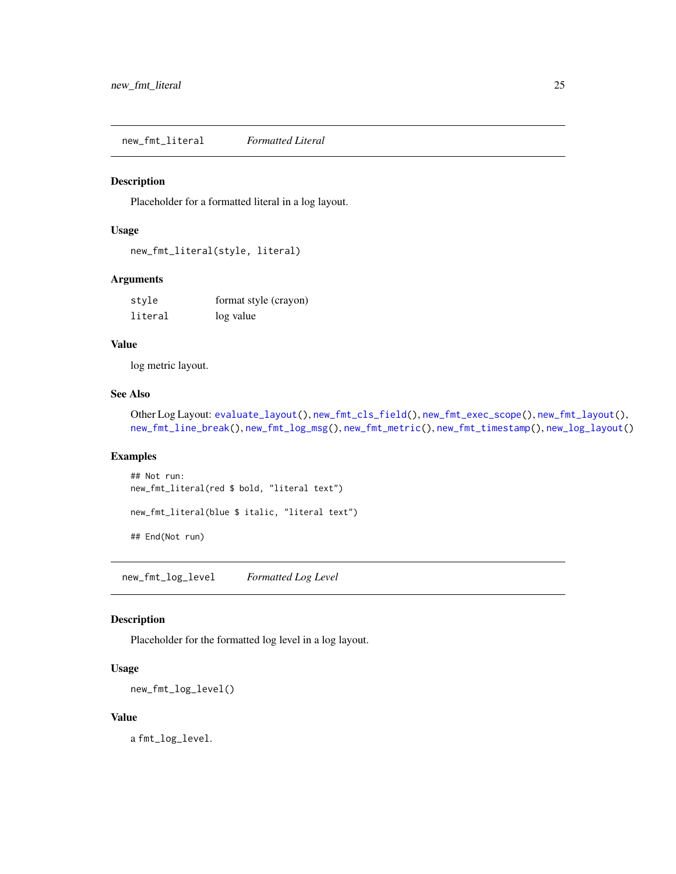<span id="page-24-1"></span><span id="page-24-0"></span>new\_fmt\_literal *Formatted Literal*

#### Description

Placeholder for a formatted literal in a log layout.

#### Usage

```
new_fmt_literal(style, literal)
```
#### Arguments

| style   | format style (crayon) |
|---------|-----------------------|
| literal | log value             |

#### Value

log metric layout.

# See Also

Other Log Layout: [evaluate\\_layout\(](#page-8-2)), [new\\_fmt\\_cls\\_field\(](#page-22-1)), [new\\_fmt\\_exec\\_scope\(](#page-22-2)), [new\\_fmt\\_layout\(](#page-23-1)), [new\\_fmt\\_line\\_break\(](#page-23-2)), [new\\_fmt\\_log\\_msg\(](#page-25-1)), [new\\_fmt\\_metric\(](#page-25-2)), [new\\_fmt\\_timestamp\(](#page-26-1)), [new\\_log\\_layout\(](#page-27-1))

#### Examples

```
## Not run:
new_fmt_literal(red $ bold, "literal text")
```
new\_fmt\_literal(blue \$ italic, "literal text")

## End(Not run)

new\_fmt\_log\_level *Formatted Log Level*

#### Description

Placeholder for the formatted log level in a log layout.

#### Usage

```
new_fmt_log_level()
```
#### Value

a fmt\_log\_level.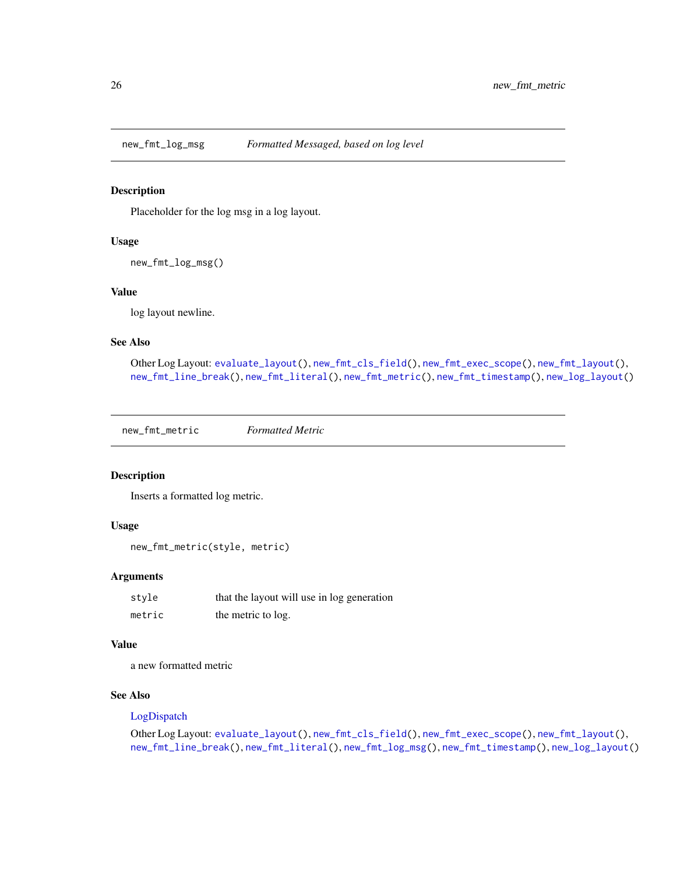<span id="page-25-1"></span><span id="page-25-0"></span>

Placeholder for the log msg in a log layout.

#### Usage

new\_fmt\_log\_msg()

#### Value

log layout newline.

#### See Also

Other Log Layout: [evaluate\\_layout\(](#page-8-2)), [new\\_fmt\\_cls\\_field\(](#page-22-1)), [new\\_fmt\\_exec\\_scope\(](#page-22-2)), [new\\_fmt\\_layout\(](#page-23-1)), [new\\_fmt\\_line\\_break\(](#page-23-2)), [new\\_fmt\\_literal\(](#page-24-1)), [new\\_fmt\\_metric\(](#page-25-2)), [new\\_fmt\\_timestamp\(](#page-26-1)), [new\\_log\\_layout\(](#page-27-1))

<span id="page-25-2"></span>new\_fmt\_metric *Formatted Metric*

#### Description

Inserts a formatted log metric.

#### Usage

new\_fmt\_metric(style, metric)

#### Arguments

| style  | that the layout will use in log generation |
|--------|--------------------------------------------|
| metric | the metric to log.                         |

#### Value

a new formatted metric

#### See Also

#### [LogDispatch](#page-19-2)

Other Log Layout: [evaluate\\_layout\(](#page-8-2)), [new\\_fmt\\_cls\\_field\(](#page-22-1)), [new\\_fmt\\_exec\\_scope\(](#page-22-2)), [new\\_fmt\\_layout\(](#page-23-1)), [new\\_fmt\\_line\\_break\(](#page-23-2)), [new\\_fmt\\_literal\(](#page-24-1)), [new\\_fmt\\_log\\_msg\(](#page-25-1)), [new\\_fmt\\_timestamp\(](#page-26-1)), [new\\_log\\_layout\(](#page-27-1))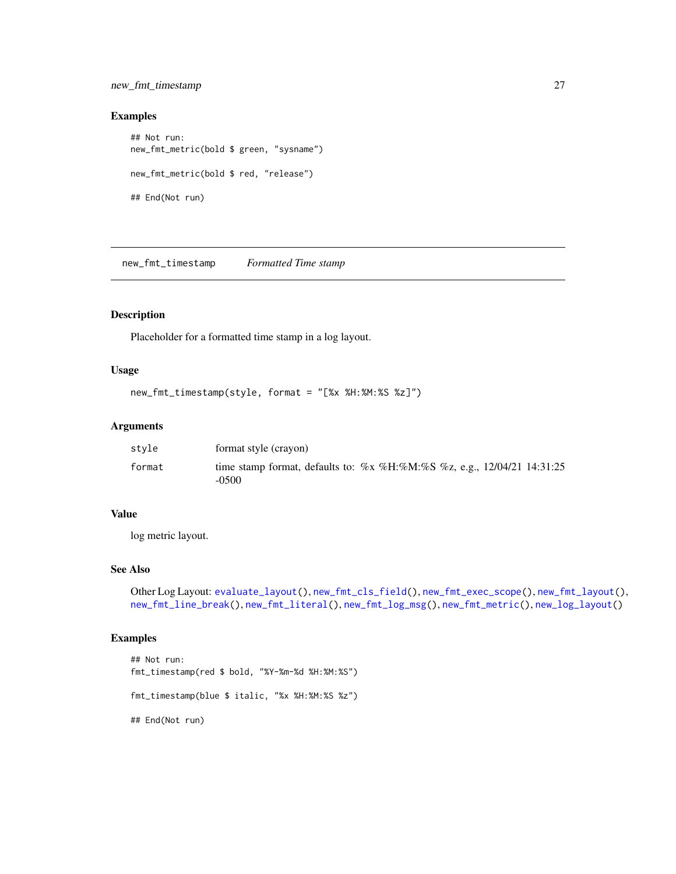#### <span id="page-26-0"></span>new\_fmt\_timestamp 27

#### Examples

```
## Not run:
new_fmt_metric(bold $ green, "sysname")
new_fmt_metric(bold $ red, "release")
## End(Not run)
```
<span id="page-26-1"></span>new\_fmt\_timestamp *Formatted Time stamp*

#### Description

Placeholder for a formatted time stamp in a log layout.

# Usage

```
new_fmt_timestamp(style, format = "[%x %H:%M:%S %z]")
```
#### Arguments

| stvle  | format style (crayon)                                                                 |
|--------|---------------------------------------------------------------------------------------|
| format | time stamp format, defaults to: $\%x$ %H:%M:%S %z, e.g., 12/04/21 14:31:25<br>$-0500$ |

### Value

log metric layout.

#### See Also

```
Other Log Layout: evaluate_layout(), new_fmt_cls_field(), new_fmt_exec_scope(), new_fmt_layout(),
new_fmt_line_break(), new_fmt_literal(), new_fmt_log_msg(), new_fmt_metric(), new_log_layout()
```
#### Examples

```
## Not run:
fmt_timestamp(red $ bold, "%Y-%m-%d %H:%M:%S")
fmt_timestamp(blue $ italic, "%x %H:%M:%S %z")
## End(Not run)
```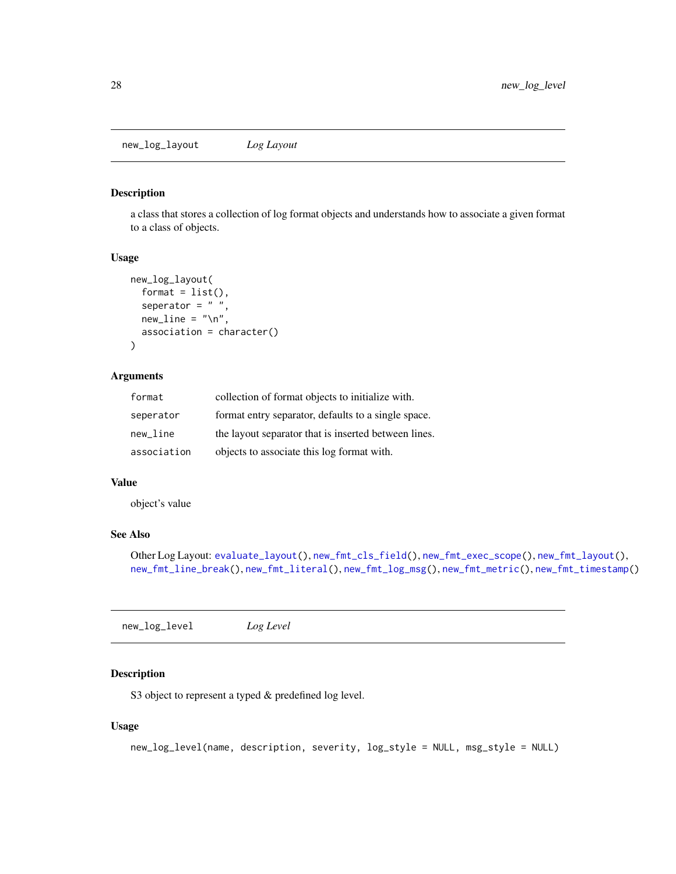<span id="page-27-1"></span><span id="page-27-0"></span>new\_log\_layout *Log Layout*

#### Description

a class that stores a collection of log format objects and understands how to associate a given format to a class of objects.

#### Usage

```
new_log_layout(
  format = list(),
  seperator = " "new\_line = "\\n",association = character()
\mathcal{L}
```
#### Arguments

| format      | collection of format objects to initialize with.     |
|-------------|------------------------------------------------------|
| seperator   | format entry separator, defaults to a single space.  |
| new line    | the layout separator that is inserted between lines. |
| association | objects to associate this log format with.           |

#### Value

object's value

# See Also

```
Other Log Layout: evaluate_layout(), new_fmt_cls_field(), new_fmt_exec_scope(), new_fmt_layout(),
new_fmt_line_break(), new_fmt_literal(), new_fmt_log_msg(), new_fmt_metric(), new_fmt_timestamp()
```
new\_log\_level *Log Level*

#### Description

S3 object to represent a typed & predefined log level.

#### Usage

```
new_log_level(name, description, severity, log_style = NULL, msg_style = NULL)
```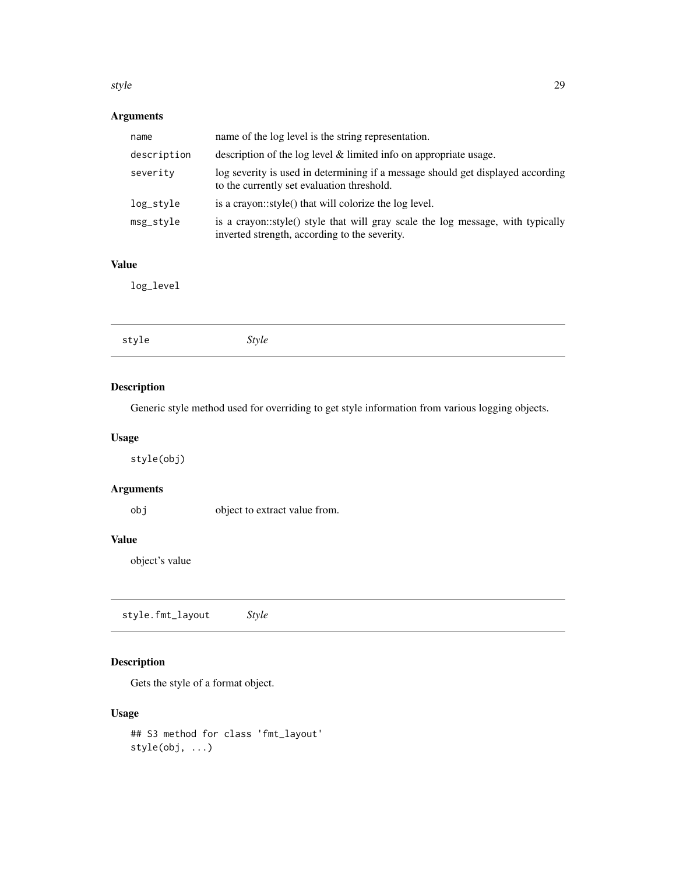#### <span id="page-28-0"></span>style 29

# Arguments

| name        | name of the log level is the string representation.                                                                              |
|-------------|----------------------------------------------------------------------------------------------------------------------------------|
| description | description of the log level $\&$ limited info on appropriate usage.                                                             |
| severity    | log severity is used in determining if a message should get displayed according<br>to the currently set evaluation threshold.    |
| log_style   | is a crayon::style() that will colorize the log level.                                                                           |
| msg_style   | is a crayon::style() style that will gray scale the log message, with typically<br>inverted strength, according to the severity. |

# Value

log\_level

| style<br>Style |
|----------------|
|----------------|

#### Description

Generic style method used for overriding to get style information from various logging objects.

#### Usage

style(obj)

#### Arguments

obj object to extract value from.

# Value

object's value

style.fmt\_layout *Style*

# Description

Gets the style of a format object.

# Usage

```
## S3 method for class 'fmt_layout'
style(obj, ...)
```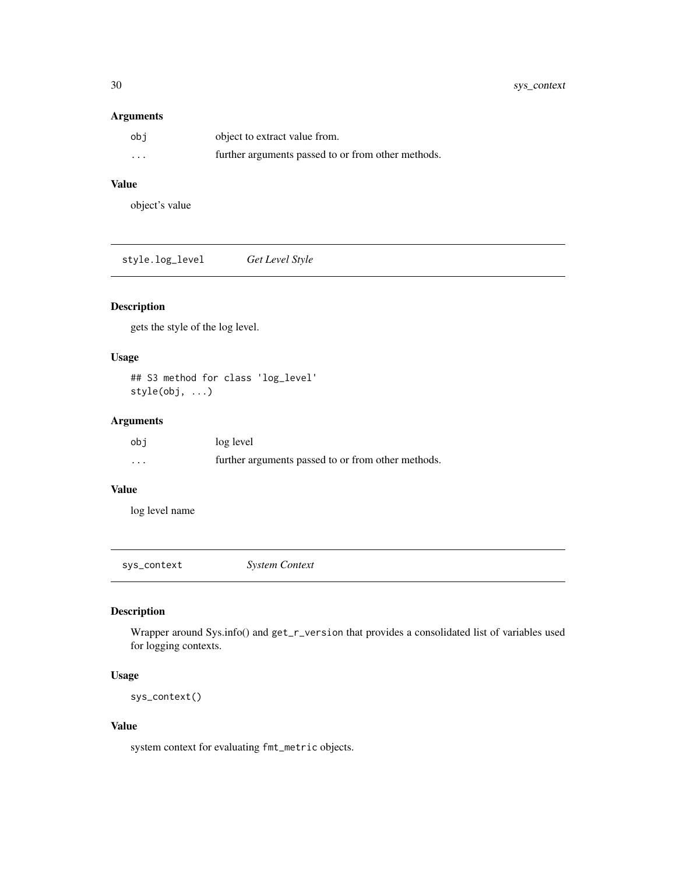#### <span id="page-29-0"></span>Arguments

| obi      | object to extract value from.                      |
|----------|----------------------------------------------------|
| $\cdots$ | further arguments passed to or from other methods. |

#### Value

object's value

style.log\_level *Get Level Style*

# Description

gets the style of the log level.

#### Usage

## S3 method for class 'log\_level' style(obj, ...)

#### Arguments

| obi      | log level                                          |
|----------|----------------------------------------------------|
| $\cdots$ | further arguments passed to or from other methods. |

#### Value

log level name

<span id="page-29-1"></span>sys\_context *System Context*

# Description

Wrapper around Sys.info() and get\_r\_version that provides a consolidated list of variables used for logging contexts.

#### Usage

sys\_context()

#### Value

system context for evaluating fmt\_metric objects.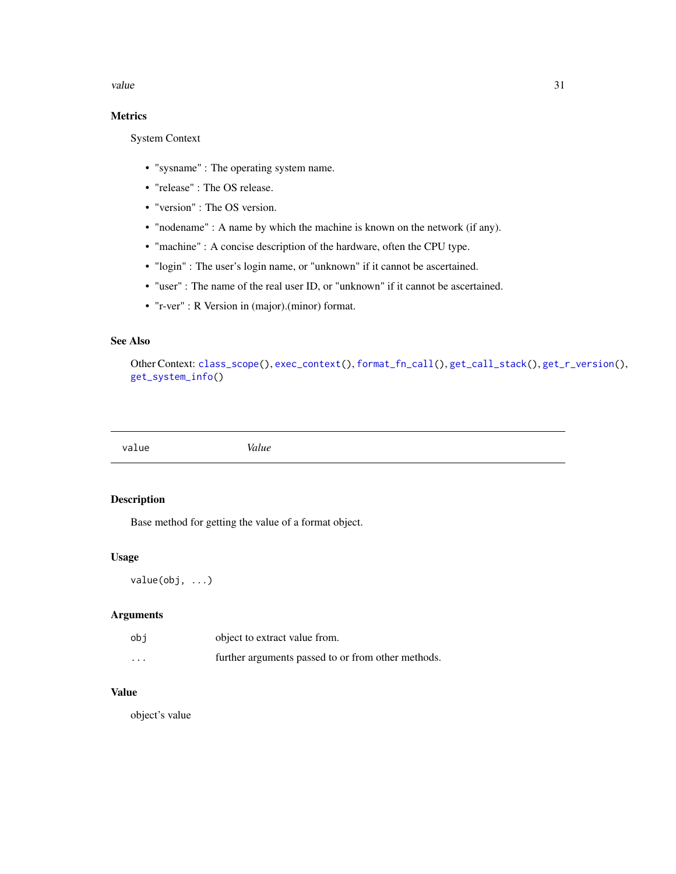<span id="page-30-0"></span>value 31

# Metrics

System Context

- "sysname" : The operating system name.
- "release" : The OS release.
- "version" : The OS version.
- "nodename" : A name by which the machine is known on the network (if any).
- "machine" : A concise description of the hardware, often the CPU type.
- "login" : The user's login name, or "unknown" if it cannot be ascertained.
- "user" : The name of the real user ID, or "unknown" if it cannot be ascertained.
- "r-ver" : R Version in (major).(minor) format.

# See Also

Other Context: [class\\_scope\(](#page-5-1)), [exec\\_context\(](#page-9-1)), [format\\_fn\\_call\(](#page-11-1)), [get\\_call\\_stack\(](#page-12-2)), [get\\_r\\_version\(](#page-14-1)), [get\\_system\\_info\(](#page-14-2))

value *Value*

#### Description

Base method for getting the value of a format object.

#### Usage

value(obj, ...)

#### Arguments

| obi                  | object to extract value from.                      |
|----------------------|----------------------------------------------------|
| $\ddot{\phantom{0}}$ | further arguments passed to or from other methods. |

# Value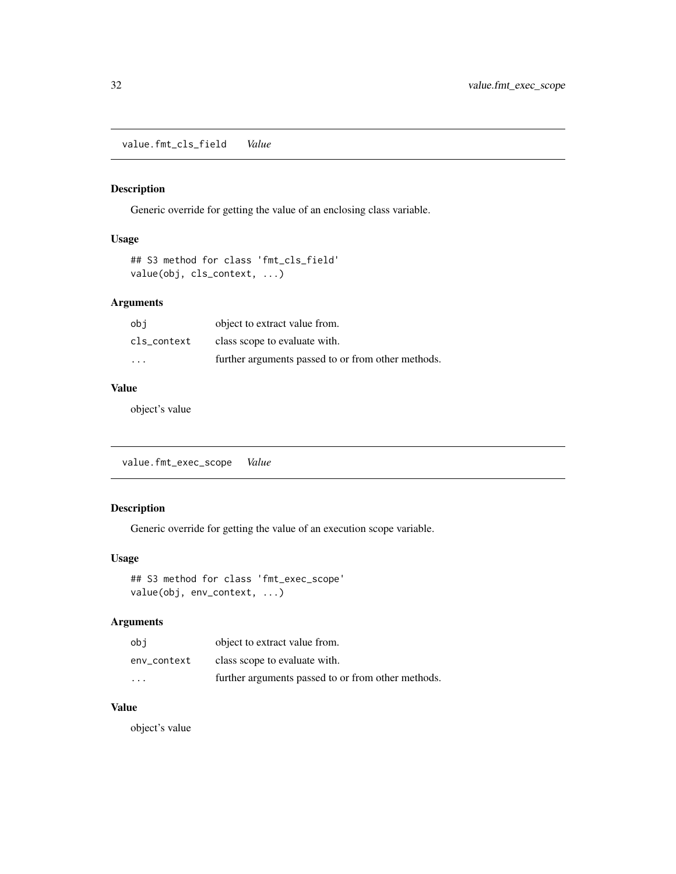<span id="page-31-0"></span>value.fmt\_cls\_field *Value*

#### Description

Generic override for getting the value of an enclosing class variable.

#### Usage

```
## S3 method for class 'fmt_cls_field'
value(obj, cls_context, ...)
```
### Arguments

| obi                     | object to extract value from.                      |
|-------------------------|----------------------------------------------------|
| cls context             | class scope to evaluate with.                      |
| $\cdot$ $\cdot$ $\cdot$ | further arguments passed to or from other methods. |

# Value

object's value

value.fmt\_exec\_scope *Value*

# Description

Generic override for getting the value of an execution scope variable.

# Usage

```
## S3 method for class 'fmt_exec_scope'
value(obj, env_context, ...)
```
#### Arguments

| obi                     | object to extract value from.                      |
|-------------------------|----------------------------------------------------|
| env context             | class scope to evaluate with.                      |
| $\cdot$ $\cdot$ $\cdot$ | further arguments passed to or from other methods. |

#### Value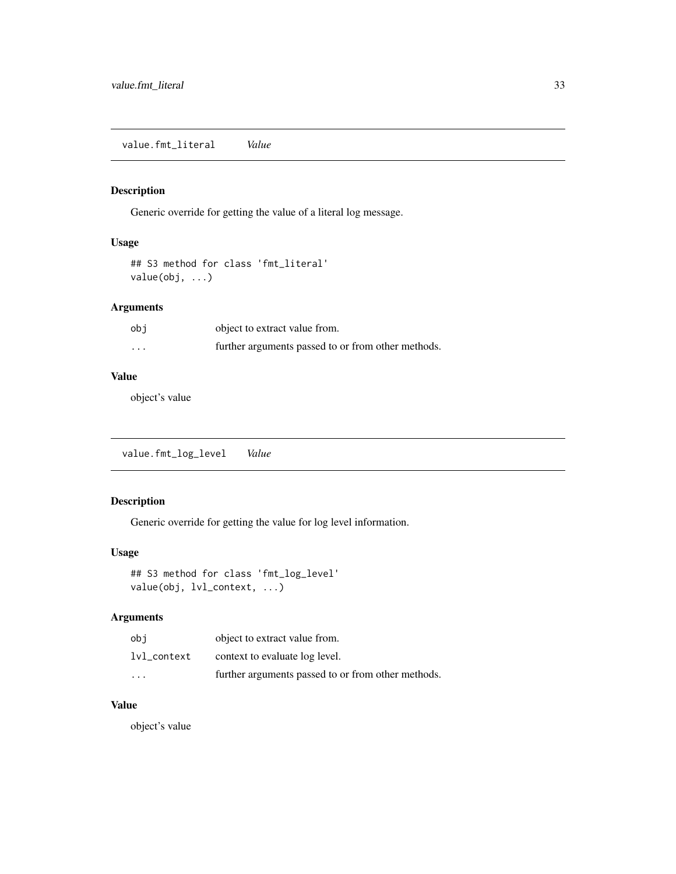<span id="page-32-0"></span>value.fmt\_literal *Value*

#### Description

Generic override for getting the value of a literal log message.

# Usage

```
## S3 method for class 'fmt_literal'
value(obj, ...)
```
#### Arguments

| obi      | object to extract value from.                      |
|----------|----------------------------------------------------|
| $\cdots$ | further arguments passed to or from other methods. |

# Value

object's value

value.fmt\_log\_level *Value*

# Description

Generic override for getting the value for log level information.

#### Usage

```
## S3 method for class 'fmt_log_level'
value(obj, lvl_context, ...)
```
#### Arguments

| obi                     | object to extract value from.                      |
|-------------------------|----------------------------------------------------|
| lvl context             | context to evaluate log level.                     |
| $\cdot$ $\cdot$ $\cdot$ | further arguments passed to or from other methods. |

# Value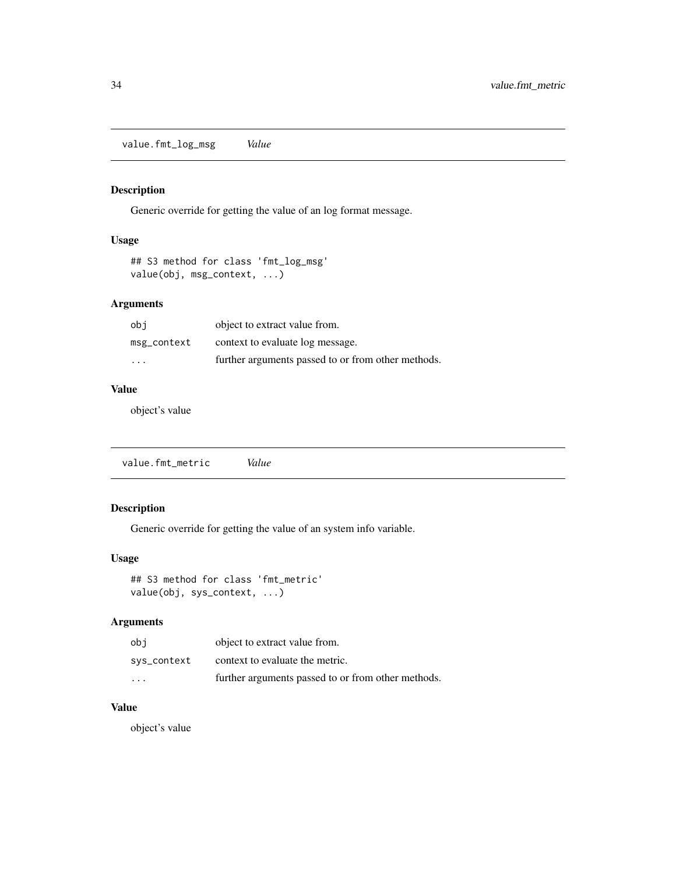<span id="page-33-0"></span>value.fmt\_log\_msg *Value*

#### Description

Generic override for getting the value of an log format message.

### Usage

```
## S3 method for class 'fmt_log_msg'
value(obj, msg_context, ...)
```
#### Arguments

| obi         | object to extract value from.                      |
|-------------|----------------------------------------------------|
| msg_context | context to evaluate log message.                   |
| .           | further arguments passed to or from other methods. |

# Value

object's value

value.fmt\_metric *Value*

# Description

Generic override for getting the value of an system info variable.

# Usage

```
## S3 method for class 'fmt_metric'
value(obj, sys_context, ...)
```
#### Arguments

| obi                  | object to extract value from.                      |
|----------------------|----------------------------------------------------|
| sys_context          | context to evaluate the metric.                    |
| $\ddot{\phantom{0}}$ | further arguments passed to or from other methods. |

# Value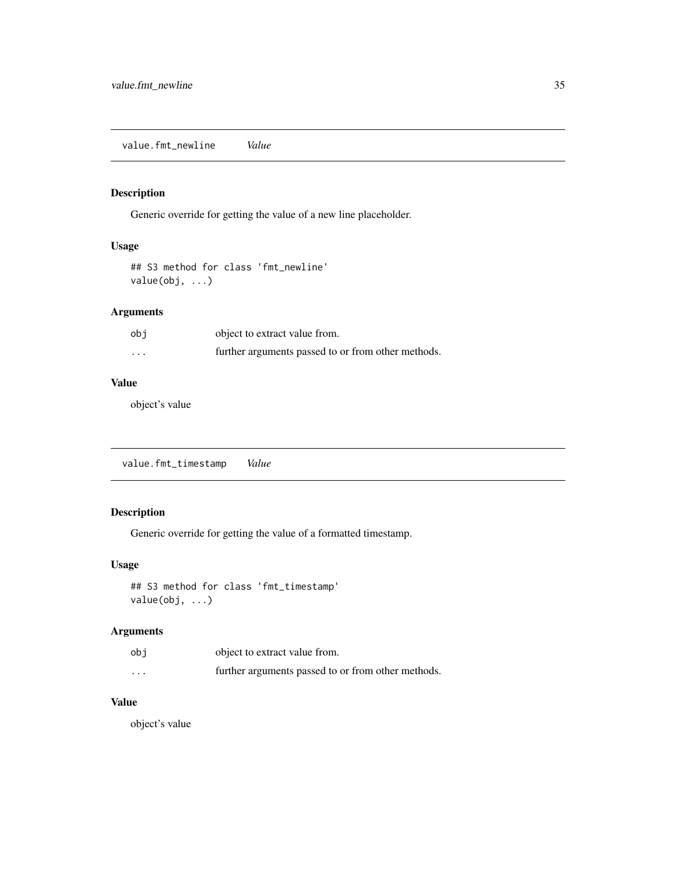<span id="page-34-0"></span>value.fmt\_newline *Value*

#### Description

Generic override for getting the value of a new line placeholder.

#### Usage

```
## S3 method for class 'fmt_newline'
value(obj, ...)
```
#### Arguments

| obi | object to extract value from.                      |
|-----|----------------------------------------------------|
| .   | further arguments passed to or from other methods. |

#### Value

object's value

value.fmt\_timestamp *Value*

#### Description

Generic override for getting the value of a formatted timestamp.

#### Usage

```
## S3 method for class 'fmt_timestamp'
value(obj, ...)
```
# Arguments

| obi                  | object to extract value from.                      |
|----------------------|----------------------------------------------------|
| $\ddot{\phantom{0}}$ | further arguments passed to or from other methods. |

#### Value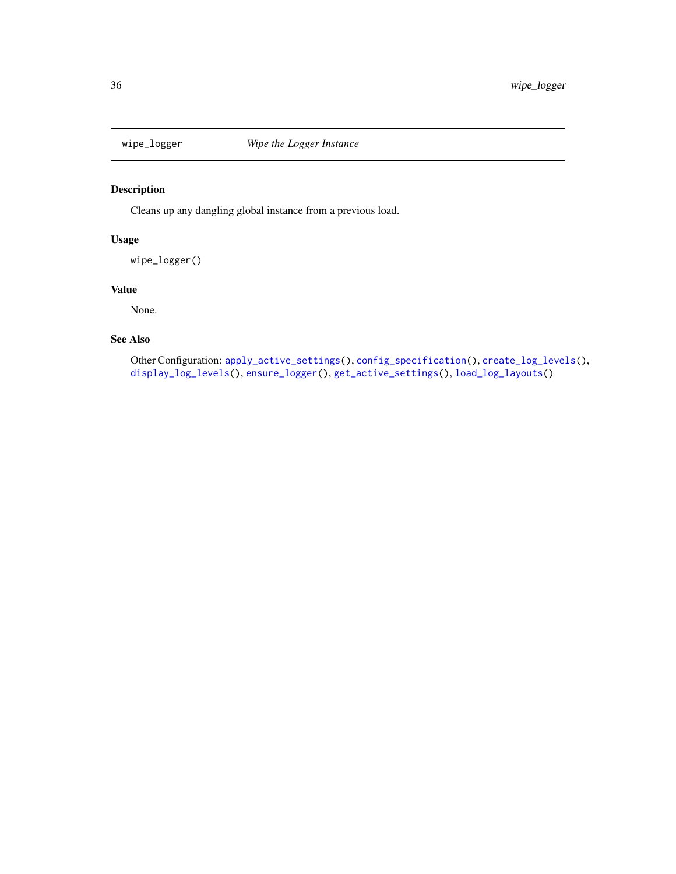<span id="page-35-1"></span><span id="page-35-0"></span>

Cleans up any dangling global instance from a previous load.

#### Usage

wipe\_logger()

# Value

None.

#### See Also

Other Configuration: [apply\\_active\\_settings\(](#page-4-1)), [config\\_specification\(](#page-6-1)), [create\\_log\\_levels\(](#page-7-1)), [display\\_log\\_levels\(](#page-7-2)), [ensure\\_logger\(](#page-8-1)), [get\\_active\\_settings\(](#page-12-1)), [load\\_log\\_layouts\(](#page-19-1))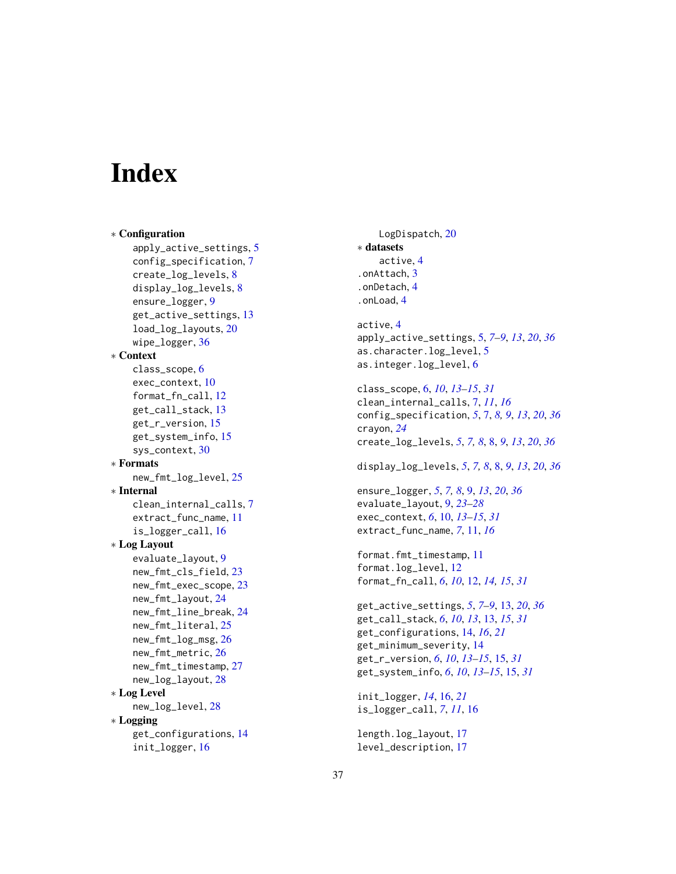# <span id="page-36-0"></span>**Index**

∗ Configuration apply\_active\_settings, [5](#page-4-0) config\_specification, [7](#page-6-0) create\_log\_levels, [8](#page-7-0) display\_log\_levels, [8](#page-7-0) ensure\_logger, [9](#page-8-0) get\_active\_settings, [13](#page-12-0) load\_log\_layouts, [20](#page-19-0) wipe\_logger, [36](#page-35-0) ∗ Context class\_scope, [6](#page-5-0) exec\_context, [10](#page-9-0) format\_fn\_call, [12](#page-11-0) get\_call\_stack, [13](#page-12-0) get\_r\_version, [15](#page-14-0) get\_system\_info, [15](#page-14-0) sys\_context, [30](#page-29-0) ∗ Formats new\_fmt\_log\_level, [25](#page-24-0) ∗ Internal clean\_internal\_calls, [7](#page-6-0) extract func name, [11](#page-10-0) is\_logger\_call, [16](#page-15-0) ∗ Log Layout evaluate\_layout, [9](#page-8-0) new\_fmt\_cls\_field, [23](#page-22-0) new\_fmt\_exec\_scope, [23](#page-22-0) new\_fmt\_layout, [24](#page-23-0) new\_fmt\_line\_break, [24](#page-23-0) new\_fmt\_literal, [25](#page-24-0) new\_fmt\_log\_msg, [26](#page-25-0) new\_fmt\_metric, [26](#page-25-0) new\_fmt\_timestamp, [27](#page-26-0) new\_log\_layout, [28](#page-27-0) ∗ Log Level new\_log\_level, [28](#page-27-0) ∗ Logging get\_configurations, [14](#page-13-0) init\_logger, [16](#page-15-0)

LogDispatch, [20](#page-19-0) ∗ datasets active, [4](#page-3-0) .onAttach, [3](#page-2-0) .onDetach, [4](#page-3-0) .onLoad, [4](#page-3-0)

active, [4](#page-3-0) apply\_active\_settings, [5,](#page-4-0) *[7](#page-6-0)[–9](#page-8-0)*, *[13](#page-12-0)*, *[20](#page-19-0)*, *[36](#page-35-0)* as.character.log\_level, [5](#page-4-0) as.integer.log\_level, [6](#page-5-0)

class\_scope, [6,](#page-5-0) *[10](#page-9-0)*, *[13](#page-12-0)[–15](#page-14-0)*, *[31](#page-30-0)* clean\_internal\_calls, [7,](#page-6-0) *[11](#page-10-0)*, *[16](#page-15-0)* config\_specification, *[5](#page-4-0)*, [7,](#page-6-0) *[8,](#page-7-0) [9](#page-8-0)*, *[13](#page-12-0)*, *[20](#page-19-0)*, *[36](#page-35-0)* crayon, *[24](#page-23-0)* create\_log\_levels, *[5](#page-4-0)*, *[7,](#page-6-0) [8](#page-7-0)*, [8,](#page-7-0) *[9](#page-8-0)*, *[13](#page-12-0)*, *[20](#page-19-0)*, *[36](#page-35-0)*

display\_log\_levels, *[5](#page-4-0)*, *[7,](#page-6-0) [8](#page-7-0)*, [8,](#page-7-0) *[9](#page-8-0)*, *[13](#page-12-0)*, *[20](#page-19-0)*, *[36](#page-35-0)*

ensure\_logger, *[5](#page-4-0)*, *[7,](#page-6-0) [8](#page-7-0)*, [9,](#page-8-0) *[13](#page-12-0)*, *[20](#page-19-0)*, *[36](#page-35-0)* evaluate\_layout, [9,](#page-8-0) *[23](#page-22-0)[–28](#page-27-0)* exec\_context, *[6](#page-5-0)*, [10,](#page-9-0) *[13](#page-12-0)[–15](#page-14-0)*, *[31](#page-30-0)* extract\_func\_name, *[7](#page-6-0)*, [11,](#page-10-0) *[16](#page-15-0)*

format.fmt\_timestamp, [11](#page-10-0) format.log\_level, [12](#page-11-0) format\_fn\_call, *[6](#page-5-0)*, *[10](#page-9-0)*, [12,](#page-11-0) *[14,](#page-13-0) [15](#page-14-0)*, *[31](#page-30-0)*

get\_active\_settings, *[5](#page-4-0)*, *[7](#page-6-0)[–9](#page-8-0)*, [13,](#page-12-0) *[20](#page-19-0)*, *[36](#page-35-0)* get\_call\_stack, *[6](#page-5-0)*, *[10](#page-9-0)*, *[13](#page-12-0)*, [13,](#page-12-0) *[15](#page-14-0)*, *[31](#page-30-0)* get\_configurations, [14,](#page-13-0) *[16](#page-15-0)*, *[21](#page-20-0)* get\_minimum\_severity, [14](#page-13-0) get\_r\_version, *[6](#page-5-0)*, *[10](#page-9-0)*, *[13](#page-12-0)[–15](#page-14-0)*, [15,](#page-14-0) *[31](#page-30-0)* get\_system\_info, *[6](#page-5-0)*, *[10](#page-9-0)*, *[13](#page-12-0)[–15](#page-14-0)*, [15,](#page-14-0) *[31](#page-30-0)*

init\_logger, *[14](#page-13-0)*, [16,](#page-15-0) *[21](#page-20-0)* is\_logger\_call, *[7](#page-6-0)*, *[11](#page-10-0)*, [16](#page-15-0)

length.log\_layout, [17](#page-16-0) level\_description, [17](#page-16-0)